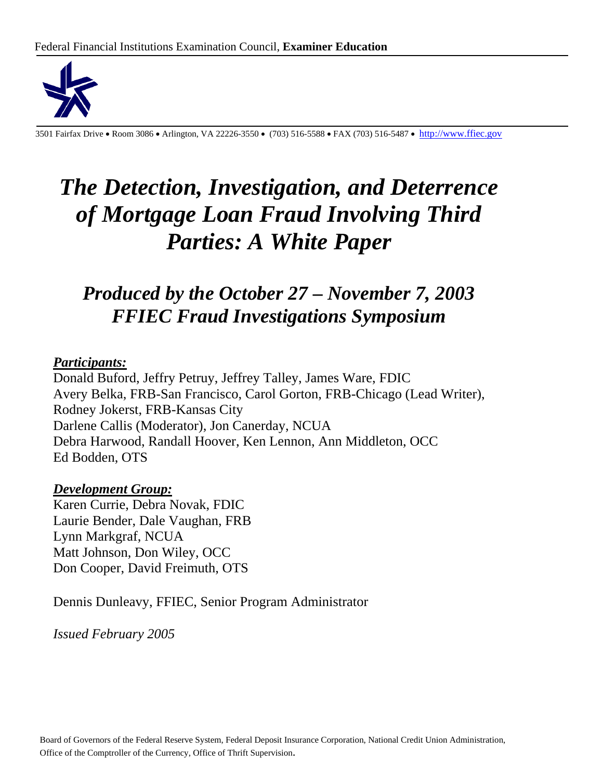

3501 Fairfax Drive • Room 3086 • Arlington, VA 22226-3550 • (703) 516-5588 • FAX (703) 516-5487 • http://www.ffiec.gov

# *The Detection, Investigation, and Deterrence of Mortgage Loan Fraud Involving Third Parties: A White Paper*

## *Produced by the October 27 – November 7, 2003 FFIEC Fraud Investigations Symposium*

### *Participants:*

Donald Buford, Jeffry Petruy, Jeffrey Talley, James Ware, FDIC Avery Belka, FRB-San Francisco, Carol Gorton, FRB-Chicago (Lead Writer), Rodney Jokerst, FRB-Kansas City Darlene Callis (Moderator), Jon Canerday, NCUA Debra Harwood, Randall Hoover, Ken Lennon, Ann Middleton, OCC Ed Bodden, OTS

### *Development Group:*

Karen Currie, Debra Novak, FDIC Laurie Bender, Dale Vaughan, FRB Lynn Markgraf, NCUA Matt Johnson, Don Wiley, OCC Don Cooper, David Freimuth, OTS

Dennis Dunleavy, FFIEC, Senior Program Administrator

*Issued February 2005*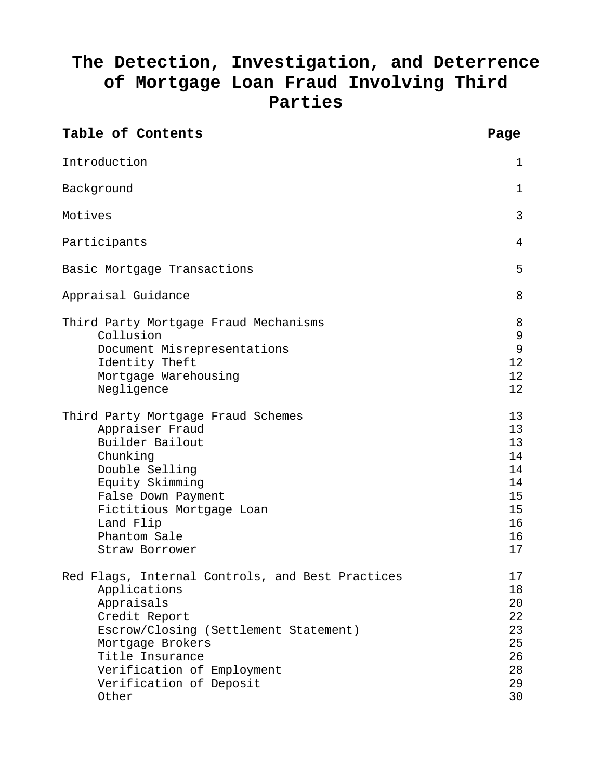## **The Detection, Investigation, and Deterrence of Mortgage Loan Fraud Involving Third Parties**

| Table of Contents                                                                                                                                                                                                                                 | Page                                                           |
|---------------------------------------------------------------------------------------------------------------------------------------------------------------------------------------------------------------------------------------------------|----------------------------------------------------------------|
| Introduction                                                                                                                                                                                                                                      | 1                                                              |
| Background                                                                                                                                                                                                                                        | $\mathbf{1}$                                                   |
| Motives                                                                                                                                                                                                                                           | 3                                                              |
| Participants                                                                                                                                                                                                                                      | 4                                                              |
| Basic Mortgage Transactions                                                                                                                                                                                                                       | 5                                                              |
| Appraisal Guidance                                                                                                                                                                                                                                | 8                                                              |
| Third Party Mortgage Fraud Mechanisms<br>Collusion<br>Document Misrepresentations<br>Identity Theft<br>Mortgage Warehousing<br>Negligence                                                                                                         | 8<br>9<br>9<br>12<br>12<br>12                                  |
| Third Party Mortgage Fraud Schemes<br>Appraiser Fraud<br>Builder Bailout<br>Chunking<br>Double Selling<br>Equity Skimming<br>False Down Payment<br>Fictitious Mortgage Loan<br>Land Flip<br>Phantom Sale<br>Straw Borrower                        | 13<br>13<br>13<br>14<br>14<br>14<br>15<br>15<br>16<br>16<br>17 |
| Red Flags, Internal Controls, and Best Practices<br>Applications<br>Appraisals<br>Credit Report<br>Escrow/Closing (Settlement Statement)<br>Mortgage Brokers<br>Title Insurance<br>Verification of Employment<br>Verification of Deposit<br>Other | 17<br>18<br>20<br>22<br>23<br>25<br>26<br>28<br>29<br>30       |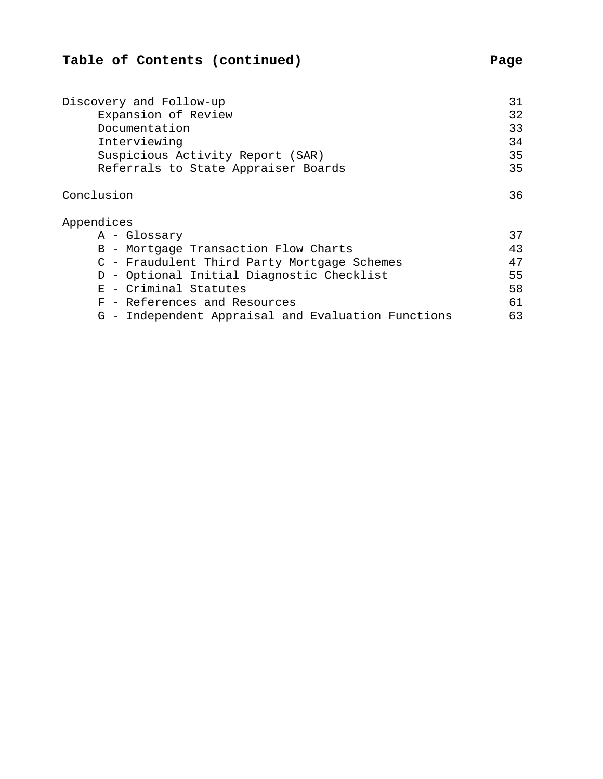## **Table of Contents (continued) Page**

| Discovery and Follow-up                            |    |  |  |
|----------------------------------------------------|----|--|--|
| Expansion of Review                                | 32 |  |  |
| Documentation                                      |    |  |  |
| Interviewing                                       |    |  |  |
| Suspicious Activity Report (SAR)                   | 35 |  |  |
| Referrals to State Appraiser Boards                |    |  |  |
| Conclusion                                         | 36 |  |  |
| Appendices                                         |    |  |  |
| A - Glossary                                       | 37 |  |  |
| B - Mortgage Transaction Flow Charts               | 43 |  |  |
| C - Fraudulent Third Party Mortgage Schemes        | 47 |  |  |
| D - Optional Initial Diagnostic Checklist          | 55 |  |  |
| E - Criminal Statutes                              | 58 |  |  |
| F - References and Resources                       | 61 |  |  |
| G - Independent Appraisal and Evaluation Functions | 63 |  |  |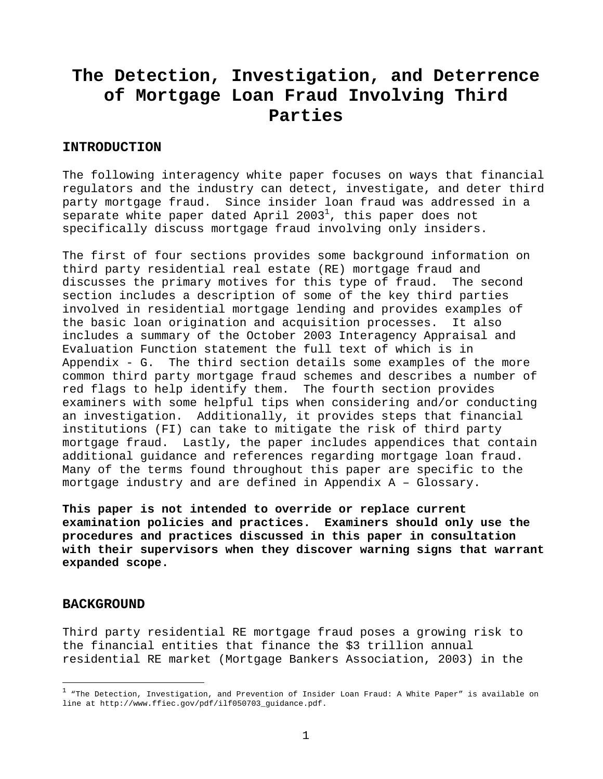## **The Detection, Investigation, and Deterrence of Mortgage Loan Fraud Involving Third Parties**

#### **INTRODUCTION**

The following interagency white paper focuses on ways that financial regulators and the industry can detect, investigate, and deter third party mortgage fraud. Since insider loan fraud was addressed in a separate white paper dated April 2003 $^{\rm l}$ , this paper does not specifically discuss mortgage fraud involving only insiders.

The first of four sections provides some background information on third party residential real estate (RE) mortgage fraud and discusses the primary motives for this type of fraud. The second section includes a description of some of the key third parties involved in residential mortgage lending and provides examples of the basic loan origination and acquisition processes. It also includes a summary of the October 2003 Interagency Appraisal and Evaluation Function statement the full text of which is in Appendix - G. The third section details some examples of the more common third party mortgage fraud schemes and describes a number of red flags to help identify them. The fourth section provides examiners with some helpful tips when considering and/or conducting an investigation. Additionally, it provides steps that financial institutions (FI) can take to mitigate the risk of third party mortgage fraud. Lastly, the paper includes appendices that contain additional guidance and references regarding mortgage loan fraud. Many of the terms found throughout this paper are specific to the mortgage industry and are defined in Appendix A – Glossary.

**This paper is not intended to override or replace current examination policies and practices. Examiners should only use the procedures and practices discussed in this paper in consultation with their supervisors when they discover warning signs that warrant expanded scope.** 

#### **BACKGROUND**

1

Third party residential RE mortgage fraud poses a growing risk to the financial entities that finance the \$3 trillion annual residential RE market (Mortgage Bankers Association, 2003) in the

 $^1$  "The Detection, Investigation, and Prevention of Insider Loan Fraud: A White Paper" is available on line at http://www.ffiec.gov/pdf/ilf050703\_guidance.pdf.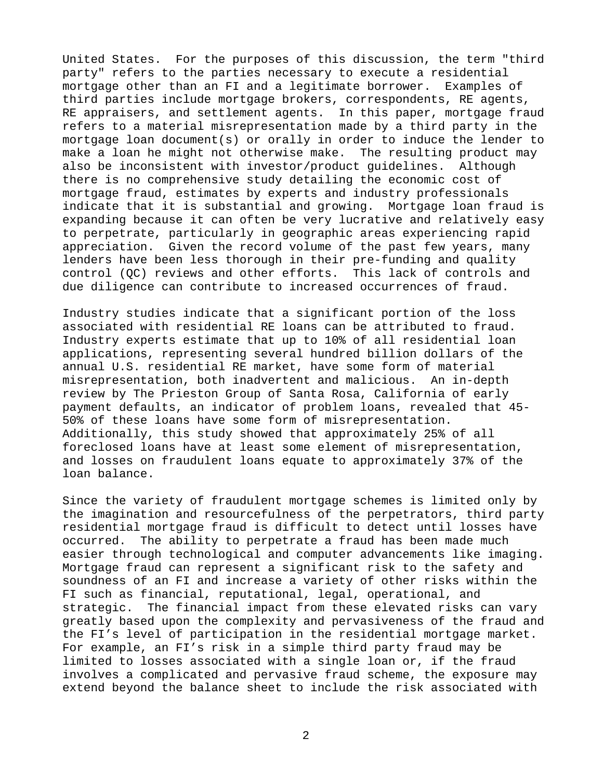United States. For the purposes of this discussion, the term "third party" refers to the parties necessary to execute a residential mortgage other than an FI and a legitimate borrower. Examples of third parties include mortgage brokers, correspondents, RE agents, RE appraisers, and settlement agents. In this paper, mortgage fraud refers to a material misrepresentation made by a third party in the mortgage loan document(s) or orally in order to induce the lender to make a loan he might not otherwise make. The resulting product may also be inconsistent with investor/product guidelines. Although there is no comprehensive study detailing the economic cost of mortgage fraud, estimates by experts and industry professionals indicate that it is substantial and growing. Mortgage loan fraud is expanding because it can often be very lucrative and relatively easy to perpetrate, particularly in geographic areas experiencing rapid appreciation. Given the record volume of the past few years, many lenders have been less thorough in their pre-funding and quality control (QC) reviews and other efforts. This lack of controls and due diligence can contribute to increased occurrences of fraud.

Industry studies indicate that a significant portion of the loss associated with residential RE loans can be attributed to fraud. Industry experts estimate that up to 10% of all residential loan applications, representing several hundred billion dollars of the annual U.S. residential RE market, have some form of material misrepresentation, both inadvertent and malicious. An in-depth review by The Prieston Group of Santa Rosa, California of early payment defaults, an indicator of problem loans, revealed that 45- 50% of these loans have some form of misrepresentation. Additionally, this study showed that approximately 25% of all foreclosed loans have at least some element of misrepresentation, and losses on fraudulent loans equate to approximately 37% of the loan balance.

Since the variety of fraudulent mortgage schemes is limited only by the imagination and resourcefulness of the perpetrators, third party residential mortgage fraud is difficult to detect until losses have occurred. The ability to perpetrate a fraud has been made much easier through technological and computer advancements like imaging. Mortgage fraud can represent a significant risk to the safety and soundness of an FI and increase a variety of other risks within the FI such as financial, reputational, legal, operational, and strategic. The financial impact from these elevated risks can vary greatly based upon the complexity and pervasiveness of the fraud and the FI's level of participation in the residential mortgage market. For example, an FI's risk in a simple third party fraud may be limited to losses associated with a single loan or, if the fraud involves a complicated and pervasive fraud scheme, the exposure may extend beyond the balance sheet to include the risk associated with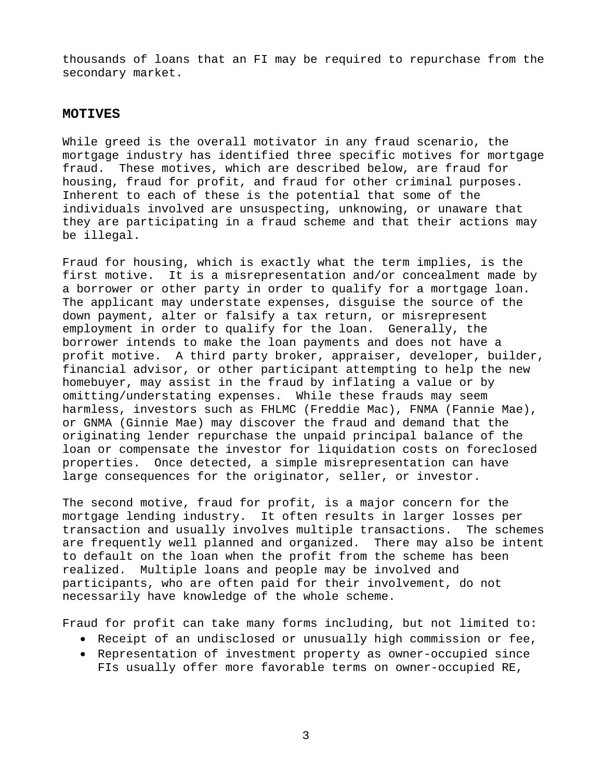thousands of loans that an FI may be required to repurchase from the secondary market.

#### **MOTIVES**

While greed is the overall motivator in any fraud scenario, the mortgage industry has identified three specific motives for mortgage fraud. These motives, which are described below, are fraud for housing, fraud for profit, and fraud for other criminal purposes. Inherent to each of these is the potential that some of the individuals involved are unsuspecting, unknowing, or unaware that they are participating in a fraud scheme and that their actions may be illegal.

Fraud for housing, which is exactly what the term implies, is the first motive. It is a misrepresentation and/or concealment made by a borrower or other party in order to qualify for a mortgage loan. The applicant may understate expenses, disguise the source of the down payment, alter or falsify a tax return, or misrepresent employment in order to qualify for the loan. Generally, the borrower intends to make the loan payments and does not have a profit motive. A third party broker, appraiser, developer, builder, financial advisor, or other participant attempting to help the new homebuyer, may assist in the fraud by inflating a value or by omitting/understating expenses. While these frauds may seem harmless, investors such as FHLMC (Freddie Mac), FNMA (Fannie Mae), or GNMA (Ginnie Mae) may discover the fraud and demand that the originating lender repurchase the unpaid principal balance of the loan or compensate the investor for liquidation costs on foreclosed properties. Once detected, a simple misrepresentation can have large consequences for the originator, seller, or investor.

The second motive, fraud for profit, is a major concern for the mortgage lending industry. It often results in larger losses per transaction and usually involves multiple transactions. The schemes are frequently well planned and organized. There may also be intent to default on the loan when the profit from the scheme has been realized. Multiple loans and people may be involved and participants, who are often paid for their involvement, do not necessarily have knowledge of the whole scheme.

Fraud for profit can take many forms including, but not limited to:

- Receipt of an undisclosed or unusually high commission or fee,
- Representation of investment property as owner-occupied since FIs usually offer more favorable terms on owner-occupied RE,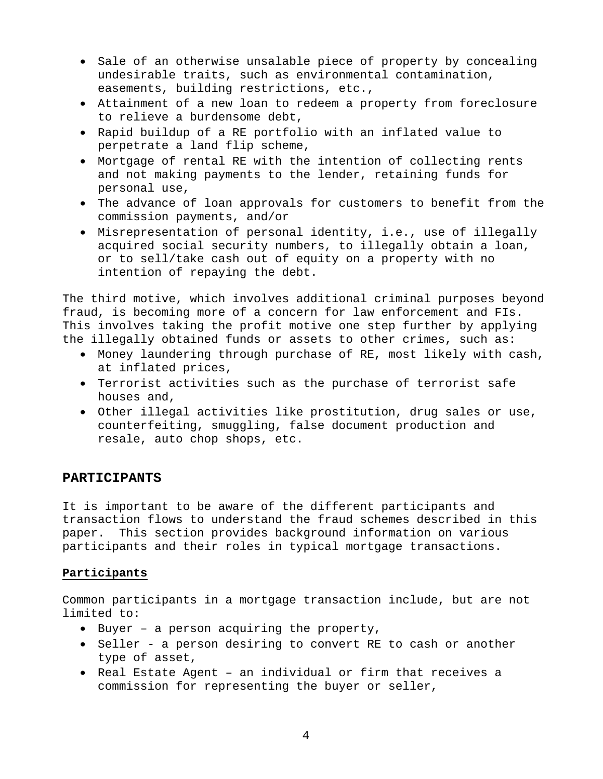- Sale of an otherwise unsalable piece of property by concealing undesirable traits, such as environmental contamination, easements, building restrictions, etc.,
- Attainment of a new loan to redeem a property from foreclosure to relieve a burdensome debt,
- Rapid buildup of a RE portfolio with an inflated value to perpetrate a land flip scheme,
- Mortgage of rental RE with the intention of collecting rents and not making payments to the lender, retaining funds for personal use,
- The advance of loan approvals for customers to benefit from the commission payments, and/or
- Misrepresentation of personal identity, i.e., use of illegally acquired social security numbers, to illegally obtain a loan, or to sell/take cash out of equity on a property with no intention of repaying the debt.

The third motive, which involves additional criminal purposes beyond fraud, is becoming more of a concern for law enforcement and FIs. This involves taking the profit motive one step further by applying the illegally obtained funds or assets to other crimes, such as:

- Money laundering through purchase of RE, most likely with cash, at inflated prices,
- Terrorist activities such as the purchase of terrorist safe houses and,
- Other illegal activities like prostitution, drug sales or use, counterfeiting, smuggling, false document production and resale, auto chop shops, etc.

### **PARTICIPANTS**

It is important to be aware of the different participants and transaction flows to understand the fraud schemes described in this paper. This section provides background information on various participants and their roles in typical mortgage transactions.

### **Participants**

Common participants in a mortgage transaction include, but are not limited to:

- Buyer a person acquiring the property,
- Seller a person desiring to convert RE to cash or another type of asset,
- Real Estate Agent an individual or firm that receives a commission for representing the buyer or seller,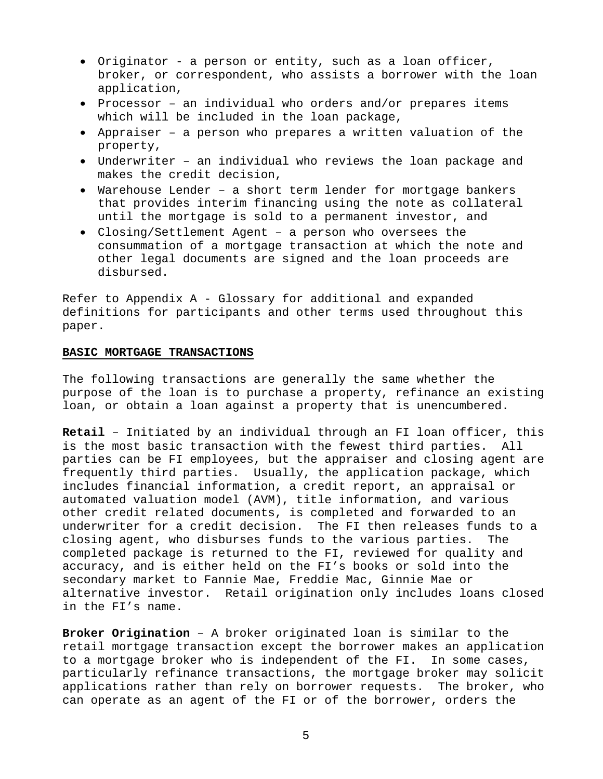- Originator a person or entity, such as a loan officer, broker, or correspondent, who assists a borrower with the loan application,
- Processor an individual who orders and/or prepares items which will be included in the loan package,
- Appraiser a person who prepares a written valuation of the property,
- Underwriter an individual who reviews the loan package and makes the credit decision,
- Warehouse Lender a short term lender for mortgage bankers that provides interim financing using the note as collateral until the mortgage is sold to a permanent investor, and
- Closing/Settlement Agent a person who oversees the consummation of a mortgage transaction at which the note and other legal documents are signed and the loan proceeds are disbursed.

Refer to Appendix A - Glossary for additional and expanded definitions for participants and other terms used throughout this paper.

#### **BASIC MORTGAGE TRANSACTIONS**

The following transactions are generally the same whether the purpose of the loan is to purchase a property, refinance an existing loan, or obtain a loan against a property that is unencumbered.

**Retail** – Initiated by an individual through an FI loan officer, this is the most basic transaction with the fewest third parties. All parties can be FI employees, but the appraiser and closing agent are frequently third parties. Usually, the application package, which includes financial information, a credit report, an appraisal or automated valuation model (AVM), title information, and various other credit related documents, is completed and forwarded to an underwriter for a credit decision. The FI then releases funds to a closing agent, who disburses funds to the various parties. The completed package is returned to the FI, reviewed for quality and accuracy, and is either held on the FI's books or sold into the secondary market to Fannie Mae, Freddie Mac, Ginnie Mae or alternative investor. Retail origination only includes loans closed in the FI's name.

**Broker Origination** – A broker originated loan is similar to the retail mortgage transaction except the borrower makes an application to a mortgage broker who is independent of the FI. In some cases, particularly refinance transactions, the mortgage broker may solicit applications rather than rely on borrower requests. The broker, who can operate as an agent of the FI or of the borrower, orders the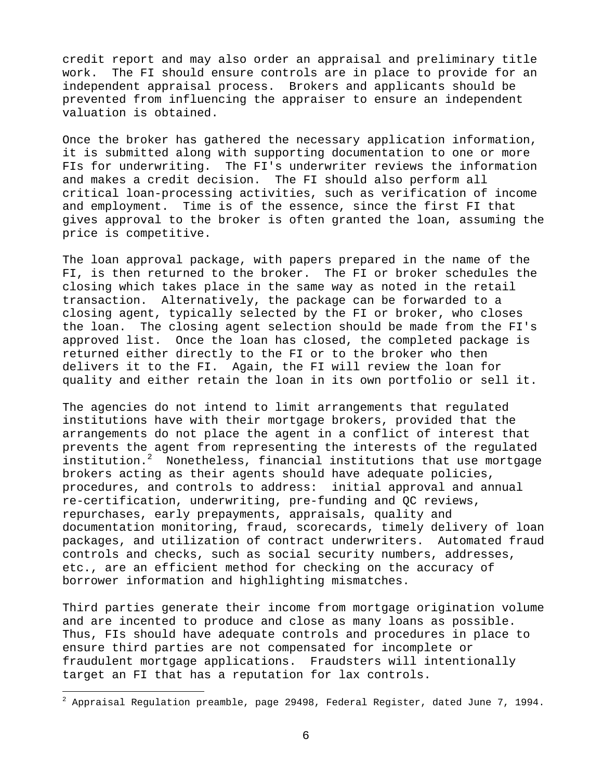credit report and may also order an appraisal and preliminary title work. The FI should ensure controls are in place to provide for an independent appraisal process. Brokers and applicants should be prevented from influencing the appraiser to ensure an independent valuation is obtained.

Once the broker has gathered the necessary application information, it is submitted along with supporting documentation to one or more FIs for underwriting. The FI's underwriter reviews the information and makes a credit decision. The FI should also perform all critical loan-processing activities, such as verification of income and employment. Time is of the essence, since the first FI that gives approval to the broker is often granted the loan, assuming the price is competitive.

The loan approval package, with papers prepared in the name of the FI, is then returned to the broker. The FI or broker schedules the closing which takes place in the same way as noted in the retail transaction. Alternatively, the package can be forwarded to a closing agent, typically selected by the FI or broker, who closes the loan. The closing agent selection should be made from the FI's approved list. Once the loan has closed, the completed package is returned either directly to the FI or to the broker who then delivers it to the FI. Again, the FI will review the loan for quality and either retain the loan in its own portfolio or sell it.

The agencies do not intend to limit arrangements that regulated institutions have with their mortgage brokers, provided that the arrangements do not place the agent in a conflict of interest that prevents the agent from representing the interests of the regulated institution.<sup>2</sup> Nonetheless, financial institutions that use mortgage brokers acting as their agents should have adequate policies, procedures, and controls to address: initial approval and annual re-certification, underwriting, pre-funding and QC reviews, repurchases, early prepayments, appraisals, quality and documentation monitoring, fraud, scorecards, timely delivery of loan packages, and utilization of contract underwriters. Automated fraud controls and checks, such as social security numbers, addresses, etc., are an efficient method for checking on the accuracy of borrower information and highlighting mismatches.

Third parties generate their income from mortgage origination volume and are incented to produce and close as many loans as possible. Thus, FIs should have adequate controls and procedures in place to ensure third parties are not compensated for incomplete or fraudulent mortgage applications. Fraudsters will intentionally target an FI that has a reputation for lax controls.

1

 $^2$  Appraisal Regulation preamble, page 29498, Federal Register, dated June 7, 1994.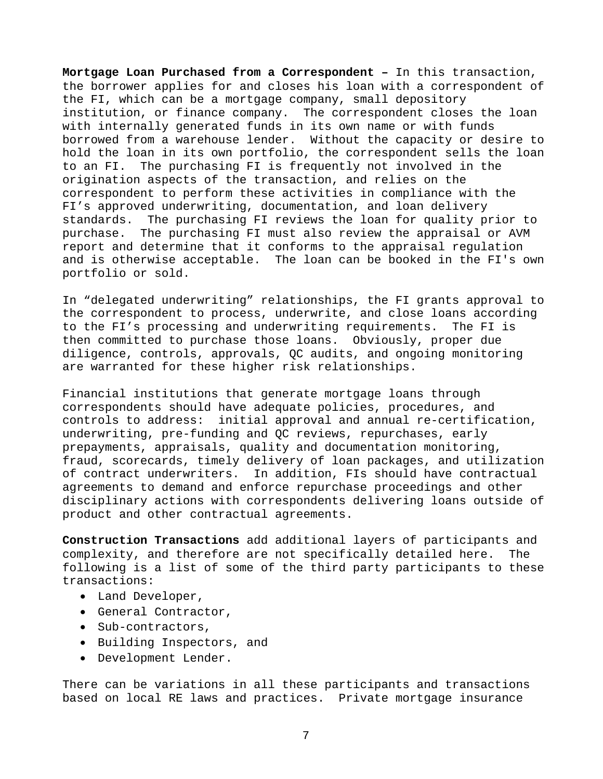**Mortgage Loan Purchased from a Correspondent –** In this transaction, the borrower applies for and closes his loan with a correspondent of the FI, which can be a mortgage company, small depository institution, or finance company. The correspondent closes the loan with internally generated funds in its own name or with funds borrowed from a warehouse lender. Without the capacity or desire to hold the loan in its own portfolio, the correspondent sells the loan to an FI. The purchasing FI is frequently not involved in the origination aspects of the transaction, and relies on the correspondent to perform these activities in compliance with the FI's approved underwriting, documentation, and loan delivery standards. The purchasing FI reviews the loan for quality prior to purchase. The purchasing FI must also review the appraisal or AVM report and determine that it conforms to the appraisal regulation and is otherwise acceptable. The loan can be booked in the FI's own portfolio or sold.

In "delegated underwriting" relationships, the FI grants approval to the correspondent to process, underwrite, and close loans according to the FI's processing and underwriting requirements. The FI is then committed to purchase those loans. Obviously, proper due diligence, controls, approvals, QC audits, and ongoing monitoring are warranted for these higher risk relationships.

Financial institutions that generate mortgage loans through correspondents should have adequate policies, procedures, and controls to address: initial approval and annual re-certification, underwriting, pre-funding and QC reviews, repurchases, early prepayments, appraisals, quality and documentation monitoring, fraud, scorecards, timely delivery of loan packages, and utilization of contract underwriters. In addition, FIs should have contractual agreements to demand and enforce repurchase proceedings and other disciplinary actions with correspondents delivering loans outside of product and other contractual agreements.

**Construction Transactions** add additional layers of participants and complexity, and therefore are not specifically detailed here. The following is a list of some of the third party participants to these transactions:

- Land Developer,
- General Contractor,
- Sub-contractors,
- Building Inspectors, and
- Development Lender.

There can be variations in all these participants and transactions based on local RE laws and practices. Private mortgage insurance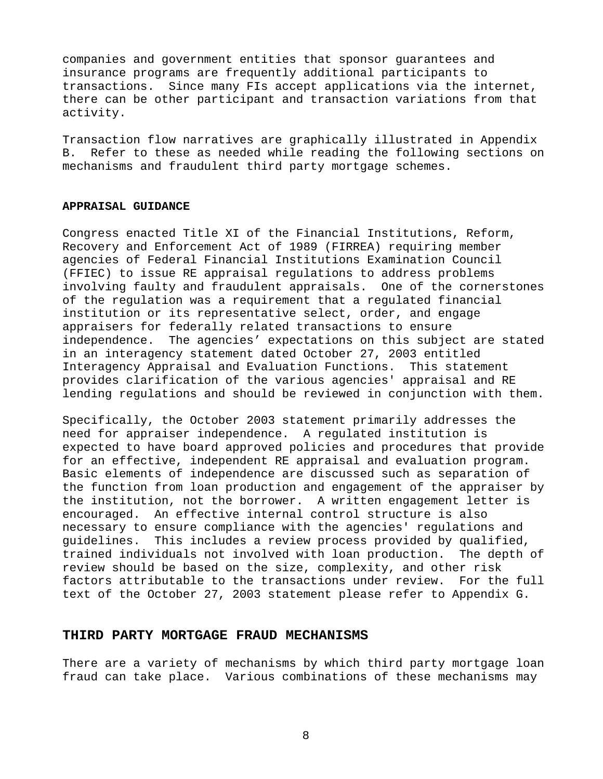companies and government entities that sponsor guarantees and insurance programs are frequently additional participants to transactions. Since many FIs accept applications via the internet, there can be other participant and transaction variations from that activity.

Transaction flow narratives are graphically illustrated in Appendix B. Refer to these as needed while reading the following sections on mechanisms and fraudulent third party mortgage schemes.

#### **APPRAISAL GUIDANCE**

Congress enacted Title XI of the Financial Institutions, Reform, Recovery and Enforcement Act of 1989 (FIRREA) requiring member agencies of Federal Financial Institutions Examination Council (FFIEC) to issue RE appraisal regulations to address problems involving faulty and fraudulent appraisals. One of the cornerstones of the regulation was a requirement that a regulated financial institution or its representative select, order, and engage appraisers for federally related transactions to ensure independence. The agencies' expectations on this subject are stated in an interagency statement dated October 27, 2003 entitled Interagency Appraisal and Evaluation Functions. This statement provides clarification of the various agencies' appraisal and RE lending regulations and should be reviewed in conjunction with them.

Specifically, the October 2003 statement primarily addresses the need for appraiser independence. A regulated institution is expected to have board approved policies and procedures that provide for an effective, independent RE appraisal and evaluation program. Basic elements of independence are discussed such as separation of the function from loan production and engagement of the appraiser by the institution, not the borrower. A written engagement letter is encouraged. An effective internal control structure is also necessary to ensure compliance with the agencies' regulations and guidelines. This includes a review process provided by qualified, trained individuals not involved with loan production. The depth of review should be based on the size, complexity, and other risk factors attributable to the transactions under review. For the full text of the October 27, 2003 statement please refer to Appendix G.

#### **THIRD PARTY MORTGAGE FRAUD MECHANISMS**

There are a variety of mechanisms by which third party mortgage loan fraud can take place. Various combinations of these mechanisms may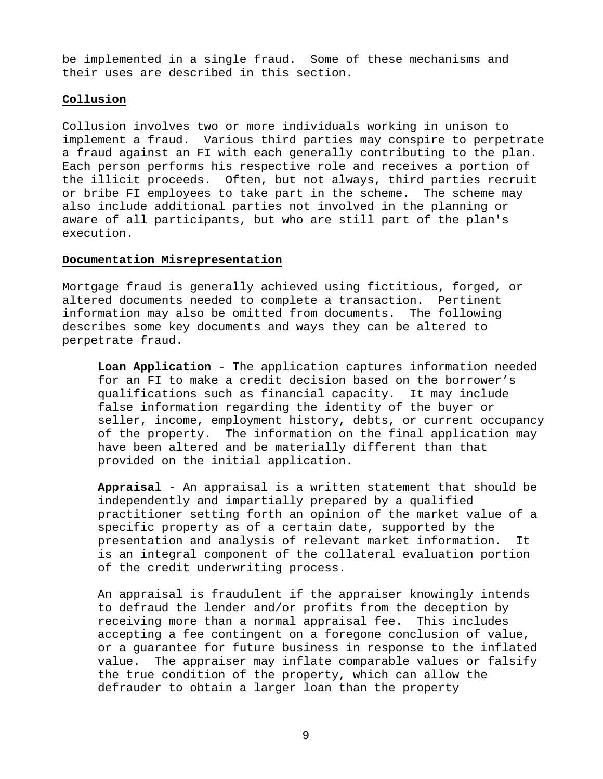be implemented in a single fraud. Some of these mechanisms and their uses are described in this section.

#### **Collusion**

Collusion involves two or more individuals working in unison to implement a fraud. Various third parties may conspire to perpetrate a fraud against an FI with each generally contributing to the plan. Each person performs his respective role and receives a portion of the illicit proceeds. Often, but not always, third parties recruit or bribe FI employees to take part in the scheme. The scheme may also include additional parties not involved in the planning or aware of all participants, but who are still part of the plan's execution.

#### **Documentation Misrepresentation**

Mortgage fraud is generally achieved using fictitious, forged, or altered documents needed to complete a transaction. Pertinent information may also be omitted from documents. The following describes some key documents and ways they can be altered to perpetrate fraud.

**Loan Application** - The application captures information needed for an FI to make a credit decision based on the borrower's qualifications such as financial capacity. It may include false information regarding the identity of the buyer or seller, income, employment history, debts, or current occupancy of the property. The information on the final application may have been altered and be materially different than that provided on the initial application.

**Appraisal** - An appraisal is a written statement that should be independently and impartially prepared by a qualified practitioner setting forth an opinion of the market value of a specific property as of a certain date, supported by the presentation and analysis of relevant market information. It is an integral component of the collateral evaluation portion of the credit underwriting process.

An appraisal is fraudulent if the appraiser knowingly intends to defraud the lender and/or profits from the deception by receiving more than a normal appraisal fee. This includes accepting a fee contingent on a foregone conclusion of value, or a guarantee for future business in response to the inflated value. The appraiser may inflate comparable values or falsify the true condition of the property, which can allow the defrauder to obtain a larger loan than the property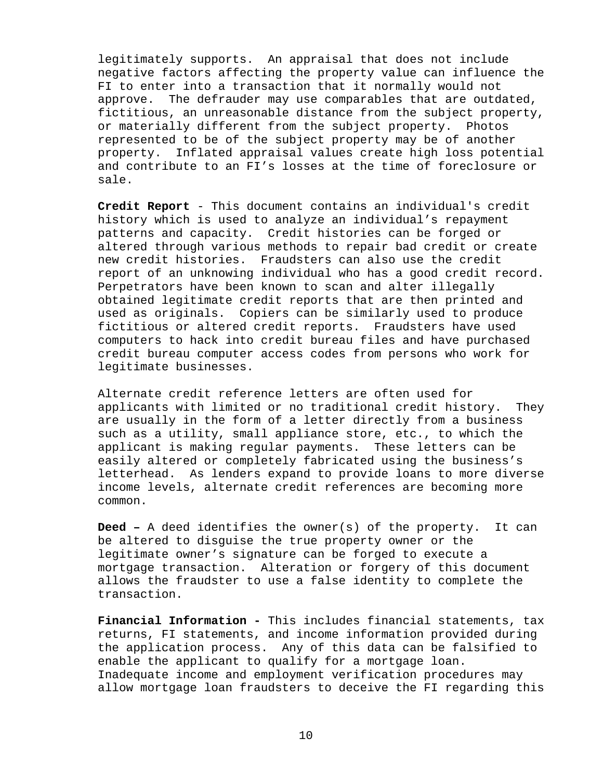legitimately supports. An appraisal that does not include negative factors affecting the property value can influence the FI to enter into a transaction that it normally would not approve. The defrauder may use comparables that are outdated, fictitious, an unreasonable distance from the subject property, or materially different from the subject property. Photos represented to be of the subject property may be of another property. Inflated appraisal values create high loss potential and contribute to an FI's losses at the time of foreclosure or sale.

**Credit Report** - This document contains an individual's credit history which is used to analyze an individual's repayment patterns and capacity. Credit histories can be forged or altered through various methods to repair bad credit or create new credit histories. Fraudsters can also use the credit report of an unknowing individual who has a good credit record. Perpetrators have been known to scan and alter illegally obtained legitimate credit reports that are then printed and used as originals. Copiers can be similarly used to produce fictitious or altered credit reports. Fraudsters have used computers to hack into credit bureau files and have purchased credit bureau computer access codes from persons who work for legitimate businesses.

Alternate credit reference letters are often used for applicants with limited or no traditional credit history. They are usually in the form of a letter directly from a business such as a utility, small appliance store, etc., to which the applicant is making regular payments. These letters can be easily altered or completely fabricated using the business's letterhead. As lenders expand to provide loans to more diverse income levels, alternate credit references are becoming more common.

**Deed –** A deed identifies the owner(s) of the property. It can be altered to disguise the true property owner or the legitimate owner's signature can be forged to execute a mortgage transaction. Alteration or forgery of this document allows the fraudster to use a false identity to complete the transaction.

**Financial Information -** This includes financial statements, tax returns, FI statements, and income information provided during the application process. Any of this data can be falsified to enable the applicant to qualify for a mortgage loan. Inadequate income and employment verification procedures may allow mortgage loan fraudsters to deceive the FI regarding this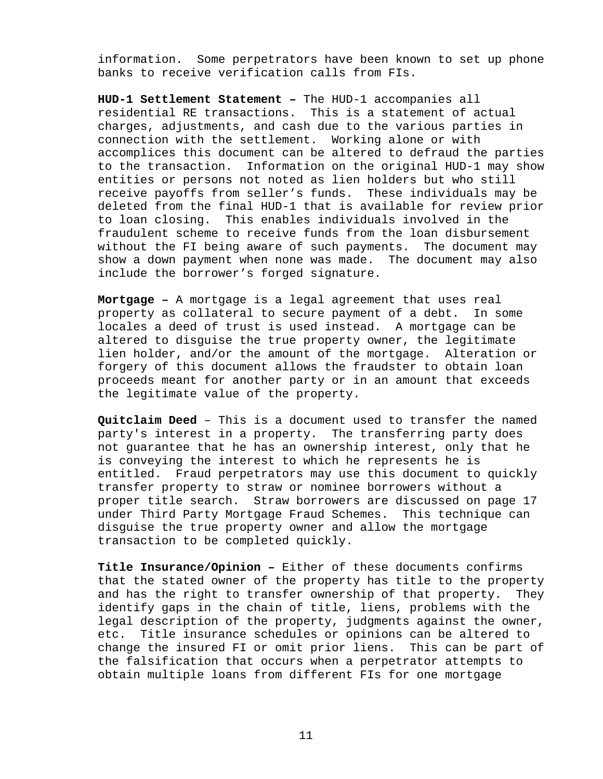information. Some perpetrators have been known to set up phone banks to receive verification calls from FIs.

**HUD-1 Settlement Statement –** The HUD-1 accompanies all residential RE transactions. This is a statement of actual charges, adjustments, and cash due to the various parties in connection with the settlement. Working alone or with accomplices this document can be altered to defraud the parties to the transaction. Information on the original HUD-1 may show entities or persons not noted as lien holders but who still receive payoffs from seller's funds. These individuals may be deleted from the final HUD-1 that is available for review prior to loan closing. This enables individuals involved in the fraudulent scheme to receive funds from the loan disbursement without the FI being aware of such payments. The document may show a down payment when none was made. The document may also include the borrower's forged signature.

**Mortgage –** A mortgage is a legal agreement that uses real property as collateral to secure payment of a debt. In some locales a deed of trust is used instead. A mortgage can be altered to disguise the true property owner, the legitimate lien holder, and/or the amount of the mortgage. Alteration or forgery of this document allows the fraudster to obtain loan proceeds meant for another party or in an amount that exceeds the legitimate value of the property.

**Quitclaim Deed** – This is a document used to transfer the named party's interest in a property. The transferring party does not guarantee that he has an ownership interest, only that he is conveying the interest to which he represents he is entitled. Fraud perpetrators may use this document to quickly transfer property to straw or nominee borrowers without a proper title search. Straw borrowers are discussed on page 17 under Third Party Mortgage Fraud Schemes. This technique can disguise the true property owner and allow the mortgage transaction to be completed quickly.

**Title Insurance/Opinion –** Either of these documents confirms that the stated owner of the property has title to the property and has the right to transfer ownership of that property. They identify gaps in the chain of title, liens, problems with the legal description of the property, judgments against the owner, etc. Title insurance schedules or opinions can be altered to change the insured FI or omit prior liens. This can be part of the falsification that occurs when a perpetrator attempts to obtain multiple loans from different FIs for one mortgage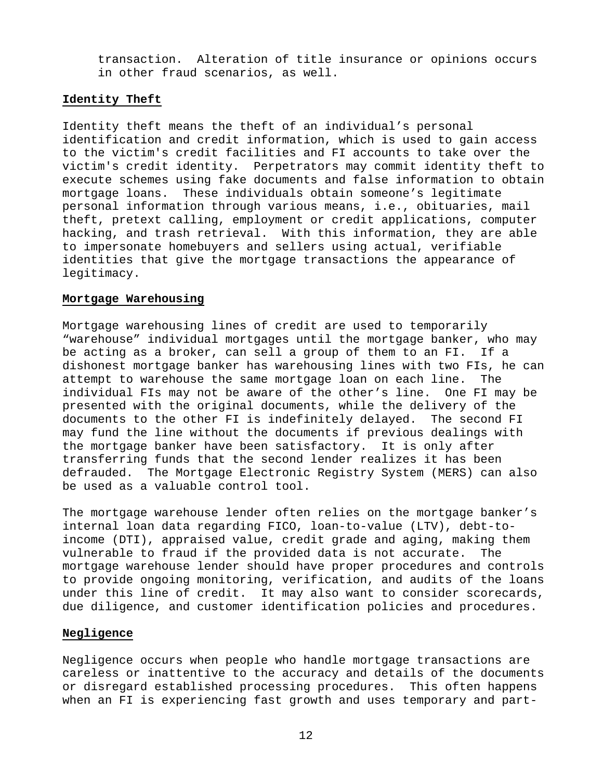transaction. Alteration of title insurance or opinions occurs in other fraud scenarios, as well.

#### **Identity Theft**

Identity theft means the theft of an individual's personal identification and credit information, which is used to gain access to the victim's credit facilities and FI accounts to take over the victim's credit identity. Perpetrators may commit identity theft to execute schemes using fake documents and false information to obtain mortgage loans. These individuals obtain someone's legitimate personal information through various means, i.e., obituaries, mail theft, pretext calling, employment or credit applications, computer hacking, and trash retrieval. With this information, they are able to impersonate homebuyers and sellers using actual, verifiable identities that give the mortgage transactions the appearance of legitimacy.

#### **Mortgage Warehousing**

Mortgage warehousing lines of credit are used to temporarily "warehouse" individual mortgages until the mortgage banker, who may be acting as a broker, can sell a group of them to an FI. If a dishonest mortgage banker has warehousing lines with two FIs, he can attempt to warehouse the same mortgage loan on each line. The individual FIs may not be aware of the other's line. One FI may be presented with the original documents, while the delivery of the documents to the other FI is indefinitely delayed. The second FI may fund the line without the documents if previous dealings with the mortgage banker have been satisfactory. It is only after transferring funds that the second lender realizes it has been defrauded. The Mortgage Electronic Registry System (MERS) can also be used as a valuable control tool.

The mortgage warehouse lender often relies on the mortgage banker's internal loan data regarding FICO, loan-to-value (LTV), debt-toincome (DTI), appraised value, credit grade and aging, making them vulnerable to fraud if the provided data is not accurate. The mortgage warehouse lender should have proper procedures and controls to provide ongoing monitoring, verification, and audits of the loans under this line of credit. It may also want to consider scorecards, due diligence, and customer identification policies and procedures.

#### **Negligence**

Negligence occurs when people who handle mortgage transactions are careless or inattentive to the accuracy and details of the documents or disregard established processing procedures. This often happens when an FI is experiencing fast growth and uses temporary and part-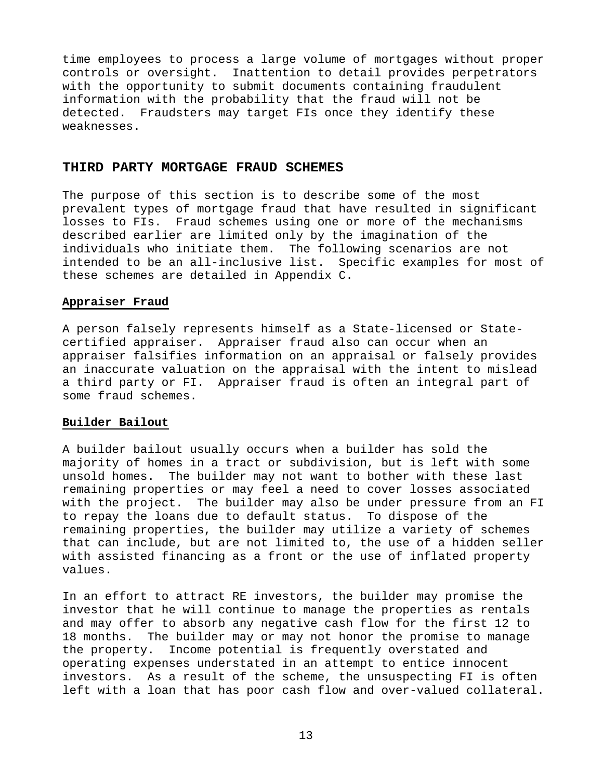time employees to process a large volume of mortgages without proper controls or oversight. Inattention to detail provides perpetrators with the opportunity to submit documents containing fraudulent information with the probability that the fraud will not be detected. Fraudsters may target FIs once they identify these weaknesses.

### **THIRD PARTY MORTGAGE FRAUD SCHEMES**

The purpose of this section is to describe some of the most prevalent types of mortgage fraud that have resulted in significant losses to FIs. Fraud schemes using one or more of the mechanisms described earlier are limited only by the imagination of the individuals who initiate them. The following scenarios are not intended to be an all-inclusive list. Specific examples for most of these schemes are detailed in Appendix C.

### **Appraiser Fraud**

A person falsely represents himself as a State-licensed or Statecertified appraiser. Appraiser fraud also can occur when an appraiser falsifies information on an appraisal or falsely provides an inaccurate valuation on the appraisal with the intent to mislead a third party or FI. Appraiser fraud is often an integral part of some fraud schemes.

#### **Builder Bailout**

A builder bailout usually occurs when a builder has sold the majority of homes in a tract or subdivision, but is left with some unsold homes. The builder may not want to bother with these last remaining properties or may feel a need to cover losses associated with the project. The builder may also be under pressure from an FI to repay the loans due to default status. To dispose of the remaining properties, the builder may utilize a variety of schemes that can include, but are not limited to, the use of a hidden seller with assisted financing as a front or the use of inflated property values.

In an effort to attract RE investors, the builder may promise the investor that he will continue to manage the properties as rentals and may offer to absorb any negative cash flow for the first 12 to 18 months. The builder may or may not honor the promise to manage the property. Income potential is frequently overstated and operating expenses understated in an attempt to entice innocent investors. As a result of the scheme, the unsuspecting FI is often left with a loan that has poor cash flow and over-valued collateral.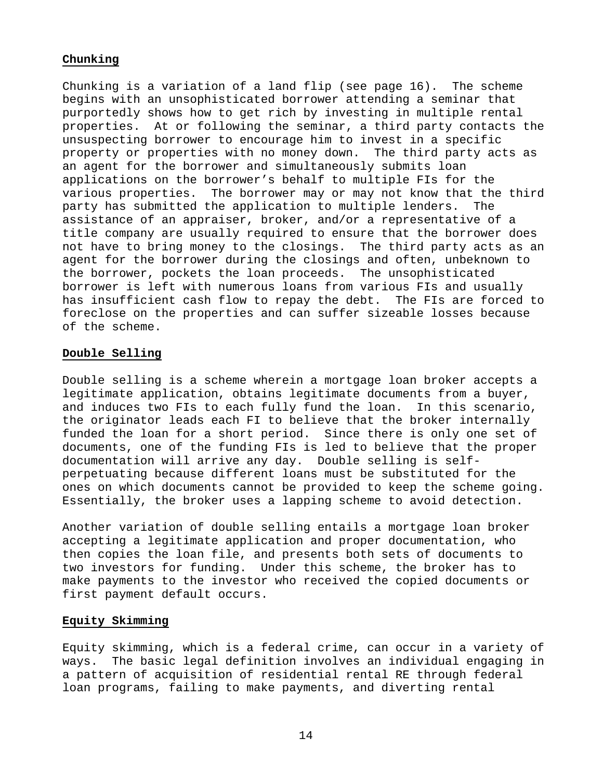#### **Chunking**

Chunking is a variation of a land flip (see page 16). The scheme begins with an unsophisticated borrower attending a seminar that purportedly shows how to get rich by investing in multiple rental properties. At or following the seminar, a third party contacts the unsuspecting borrower to encourage him to invest in a specific property or properties with no money down. The third party acts as an agent for the borrower and simultaneously submits loan applications on the borrower's behalf to multiple FIs for the various properties. The borrower may or may not know that the third party has submitted the application to multiple lenders. The assistance of an appraiser, broker, and/or a representative of a title company are usually required to ensure that the borrower does not have to bring money to the closings. The third party acts as an agent for the borrower during the closings and often, unbeknown to the borrower, pockets the loan proceeds. The unsophisticated borrower is left with numerous loans from various FIs and usually has insufficient cash flow to repay the debt. The FIs are forced to foreclose on the properties and can suffer sizeable losses because of the scheme.

#### **Double Selling**

Double selling is a scheme wherein a mortgage loan broker accepts a legitimate application, obtains legitimate documents from a buyer, and induces two FIs to each fully fund the loan. In this scenario, the originator leads each FI to believe that the broker internally funded the loan for a short period. Since there is only one set of documents, one of the funding FIs is led to believe that the proper documentation will arrive any day. Double selling is selfperpetuating because different loans must be substituted for the ones on which documents cannot be provided to keep the scheme going. Essentially, the broker uses a lapping scheme to avoid detection.

Another variation of double selling entails a mortgage loan broker accepting a legitimate application and proper documentation, who then copies the loan file, and presents both sets of documents to two investors for funding. Under this scheme, the broker has to make payments to the investor who received the copied documents or first payment default occurs.

#### **Equity Skimming**

Equity skimming, which is a federal crime, can occur in a variety of ways. The basic legal definition involves an individual engaging in a pattern of acquisition of residential rental RE through federal loan programs, failing to make payments, and diverting rental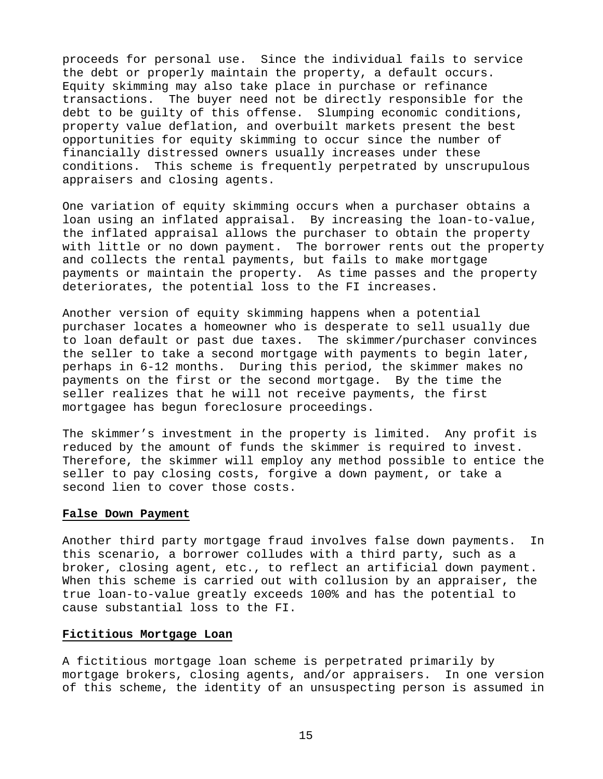proceeds for personal use. Since the individual fails to service the debt or properly maintain the property, a default occurs. Equity skimming may also take place in purchase or refinance transactions. The buyer need not be directly responsible for the debt to be guilty of this offense. Slumping economic conditions, property value deflation, and overbuilt markets present the best opportunities for equity skimming to occur since the number of financially distressed owners usually increases under these conditions. This scheme is frequently perpetrated by unscrupulous appraisers and closing agents.

One variation of equity skimming occurs when a purchaser obtains a loan using an inflated appraisal. By increasing the loan-to-value, the inflated appraisal allows the purchaser to obtain the property with little or no down payment. The borrower rents out the property and collects the rental payments, but fails to make mortgage payments or maintain the property. As time passes and the property deteriorates, the potential loss to the FI increases.

Another version of equity skimming happens when a potential purchaser locates a homeowner who is desperate to sell usually due to loan default or past due taxes. The skimmer/purchaser convinces the seller to take a second mortgage with payments to begin later, perhaps in 6-12 months. During this period, the skimmer makes no payments on the first or the second mortgage. By the time the seller realizes that he will not receive payments, the first mortgagee has begun foreclosure proceedings.

The skimmer's investment in the property is limited. Any profit is reduced by the amount of funds the skimmer is required to invest. Therefore, the skimmer will employ any method possible to entice the seller to pay closing costs, forgive a down payment, or take a second lien to cover those costs.

#### **False Down Payment**

Another third party mortgage fraud involves false down payments. In this scenario, a borrower colludes with a third party, such as a broker, closing agent, etc., to reflect an artificial down payment. When this scheme is carried out with collusion by an appraiser, the true loan-to-value greatly exceeds 100% and has the potential to cause substantial loss to the FI.

#### **Fictitious Mortgage Loan**

A fictitious mortgage loan scheme is perpetrated primarily by mortgage brokers, closing agents, and/or appraisers. In one version of this scheme, the identity of an unsuspecting person is assumed in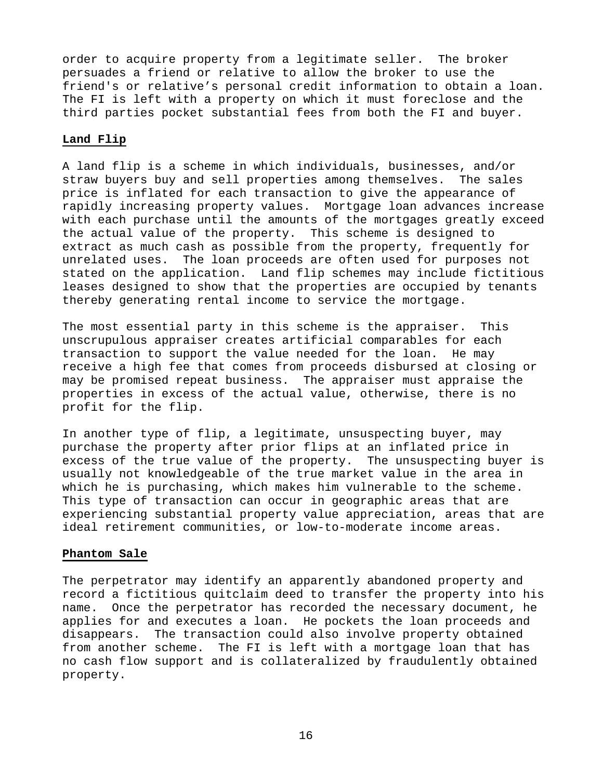order to acquire property from a legitimate seller. The broker persuades a friend or relative to allow the broker to use the friend's or relative's personal credit information to obtain a loan. The FI is left with a property on which it must foreclose and the third parties pocket substantial fees from both the FI and buyer.

#### **Land Flip**

A land flip is a scheme in which individuals, businesses, and/or straw buyers buy and sell properties among themselves. The sales price is inflated for each transaction to give the appearance of rapidly increasing property values. Mortgage loan advances increase with each purchase until the amounts of the mortgages greatly exceed the actual value of the property. This scheme is designed to extract as much cash as possible from the property, frequently for unrelated uses. The loan proceeds are often used for purposes not stated on the application. Land flip schemes may include fictitious leases designed to show that the properties are occupied by tenants thereby generating rental income to service the mortgage.

The most essential party in this scheme is the appraiser. This unscrupulous appraiser creates artificial comparables for each transaction to support the value needed for the loan. He may receive a high fee that comes from proceeds disbursed at closing or may be promised repeat business. The appraiser must appraise the properties in excess of the actual value, otherwise, there is no profit for the flip.

In another type of flip, a legitimate, unsuspecting buyer, may purchase the property after prior flips at an inflated price in excess of the true value of the property. The unsuspecting buyer is usually not knowledgeable of the true market value in the area in which he is purchasing, which makes him vulnerable to the scheme. This type of transaction can occur in geographic areas that are experiencing substantial property value appreciation, areas that are ideal retirement communities, or low-to-moderate income areas.

#### **Phantom Sale**

The perpetrator may identify an apparently abandoned property and record a fictitious quitclaim deed to transfer the property into his name. Once the perpetrator has recorded the necessary document, he applies for and executes a loan. He pockets the loan proceeds and disappears. The transaction could also involve property obtained from another scheme. The FI is left with a mortgage loan that has no cash flow support and is collateralized by fraudulently obtained property.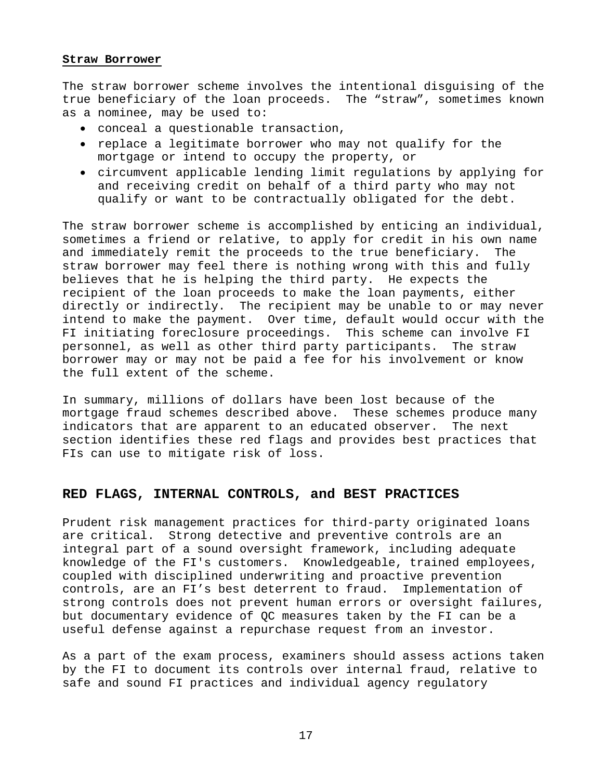#### **Straw Borrower**

The straw borrower scheme involves the intentional disguising of the true beneficiary of the loan proceeds. The "straw", sometimes known as a nominee, may be used to:

- conceal a questionable transaction,
- replace a legitimate borrower who may not qualify for the mortgage or intend to occupy the property, or
- circumvent applicable lending limit regulations by applying for and receiving credit on behalf of a third party who may not qualify or want to be contractually obligated for the debt.

The straw borrower scheme is accomplished by enticing an individual, sometimes a friend or relative, to apply for credit in his own name and immediately remit the proceeds to the true beneficiary. The straw borrower may feel there is nothing wrong with this and fully believes that he is helping the third party. He expects the recipient of the loan proceeds to make the loan payments, either directly or indirectly. The recipient may be unable to or may never intend to make the payment. Over time, default would occur with the FI initiating foreclosure proceedings. This scheme can involve FI personnel, as well as other third party participants. The straw borrower may or may not be paid a fee for his involvement or know the full extent of the scheme.

In summary, millions of dollars have been lost because of the mortgage fraud schemes described above. These schemes produce many indicators that are apparent to an educated observer. The next section identifies these red flags and provides best practices that FIs can use to mitigate risk of loss.

### **RED FLAGS, INTERNAL CONTROLS, and BEST PRACTICES**

Prudent risk management practices for third-party originated loans are critical. Strong detective and preventive controls are an integral part of a sound oversight framework, including adequate knowledge of the FI's customers. Knowledgeable, trained employees, coupled with disciplined underwriting and proactive prevention controls, are an FI's best deterrent to fraud. Implementation of strong controls does not prevent human errors or oversight failures, but documentary evidence of QC measures taken by the FI can be a useful defense against a repurchase request from an investor.

As a part of the exam process, examiners should assess actions taken by the FI to document its controls over internal fraud, relative to safe and sound FI practices and individual agency regulatory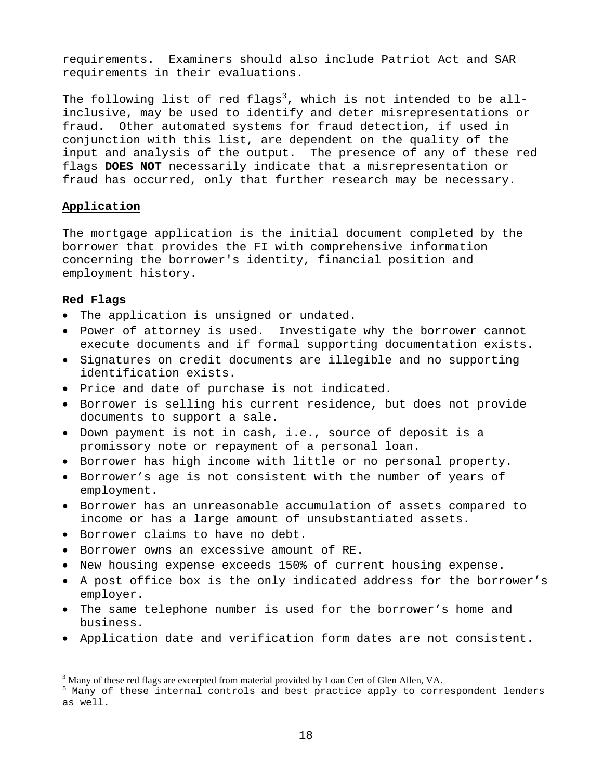requirements. Examiners should also include Patriot Act and SAR requirements in their evaluations.

The following list of red flags $^3$ , which is not intended to be allinclusive, may be used to identify and deter misrepresentations or fraud. Other automated systems for fraud detection, if used in conjunction with this list, are dependent on the quality of the input and analysis of the output. The presence of any of these red flags **DOES NOT** necessarily indicate that a misrepresentation or fraud has occurred, only that further research may be necessary.

### **Application**

The mortgage application is the initial document completed by the borrower that provides the FI with comprehensive information concerning the borrower's identity, financial position and employment history.

### **Red Flags**

1

- The application is unsigned or undated.
- Power of attorney is used. Investigate why the borrower cannot execute documents and if formal supporting documentation exists.
- Signatures on credit documents are illegible and no supporting identification exists.
- Price and date of purchase is not indicated.
- Borrower is selling his current residence, but does not provide documents to support a sale.
- Down payment is not in cash, i.e., source of deposit is a promissory note or repayment of a personal loan.
- Borrower has high income with little or no personal property.
- Borrower's age is not consistent with the number of years of employment.
- Borrower has an unreasonable accumulation of assets compared to income or has a large amount of unsubstantiated assets.
- Borrower claims to have no debt.
- Borrower owns an excessive amount of RE.
- New housing expense exceeds 150% of current housing expense.
- A post office box is the only indicated address for the borrower's employer.
- The same telephone number is used for the borrower's home and business.
- Application date and verification form dates are not consistent.

<sup>&</sup>lt;sup>3</sup> Many of these red flags are excerpted from material provided by Loan Cert of Glen Allen, VA.

<sup>&</sup>lt;sup>5</sup> Many of these internal controls and best practice apply to correspondent lenders as well.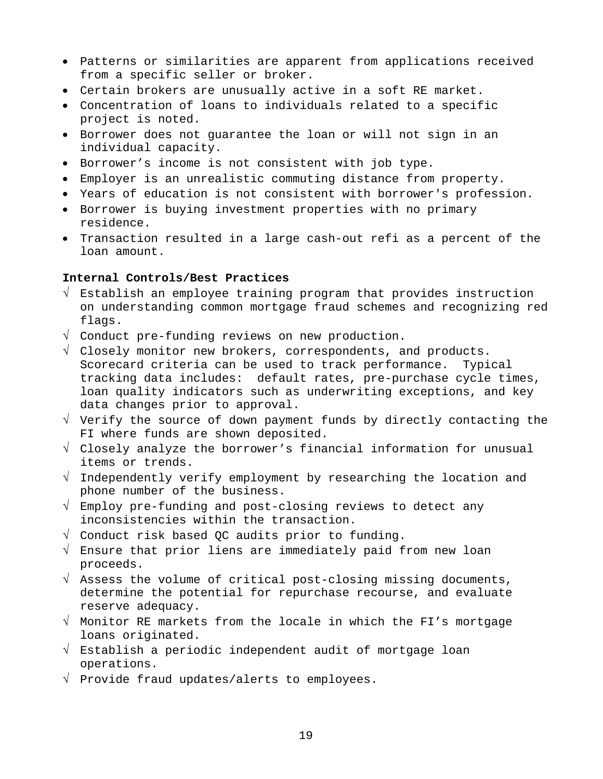- Patterns or similarities are apparent from applications received from a specific seller or broker.
- Certain brokers are unusually active in a soft RE market.
- Concentration of loans to individuals related to a specific project is noted.
- Borrower does not guarantee the loan or will not sign in an individual capacity.
- Borrower's income is not consistent with job type.
- Employer is an unrealistic commuting distance from property.
- Years of education is not consistent with borrower's profession.
- Borrower is buying investment properties with no primary residence.
- Transaction resulted in a large cash-out refi as a percent of the loan amount.

### **Internal Controls/Best Practices**

- √ Establish an employee training program that provides instruction on understanding common mortgage fraud schemes and recognizing red flags.
- √ Conduct pre-funding reviews on new production.
- √ Closely monitor new brokers, correspondents, and products. Scorecard criteria can be used to track performance. Typical tracking data includes: default rates, pre-purchase cycle times, loan quality indicators such as underwriting exceptions, and key data changes prior to approval.
- √ Verify the source of down payment funds by directly contacting the FI where funds are shown deposited.
- √ Closely analyze the borrower's financial information for unusual items or trends.
- √ Independently verify employment by researching the location and phone number of the business.
- √ Employ pre-funding and post-closing reviews to detect any inconsistencies within the transaction.
- √ Conduct risk based QC audits prior to funding.
- √ Ensure that prior liens are immediately paid from new loan proceeds.
- $\sqrt{ }$  Assess the volume of critical post-closing missing documents, determine the potential for repurchase recourse, and evaluate reserve adequacy.
- √ Monitor RE markets from the locale in which the FI's mortgage loans originated.
- √ Establish a periodic independent audit of mortgage loan operations.
- √ Provide fraud updates/alerts to employees.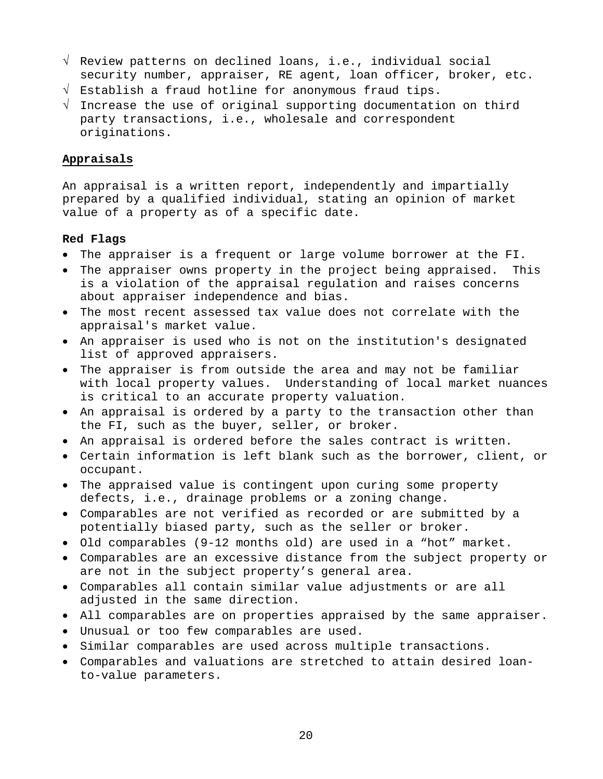- √ Review patterns on declined loans, i.e., individual social security number, appraiser, RE agent, loan officer, broker, etc.
- √ Establish a fraud hotline for anonymous fraud tips.
- √ Increase the use of original supporting documentation on third party transactions, i.e., wholesale and correspondent originations.

### **Appraisals**

An appraisal is a written report, independently and impartially prepared by a qualified individual, stating an opinion of market value of a property as of a specific date.

#### **Red Flags**

- The appraiser is a frequent or large volume borrower at the FI.
- The appraiser owns property in the project being appraised. This is a violation of the appraisal regulation and raises concerns about appraiser independence and bias.
- The most recent assessed tax value does not correlate with the appraisal's market value.
- An appraiser is used who is not on the institution's designated list of approved appraisers.
- The appraiser is from outside the area and may not be familiar with local property values. Understanding of local market nuances is critical to an accurate property valuation.
- An appraisal is ordered by a party to the transaction other than the FI, such as the buyer, seller, or broker.
- An appraisal is ordered before the sales contract is written.
- Certain information is left blank such as the borrower, client, or occupant.
- The appraised value is contingent upon curing some property defects, i.e., drainage problems or a zoning change.
- Comparables are not verified as recorded or are submitted by a potentially biased party, such as the seller or broker.
- Old comparables (9-12 months old) are used in a "hot" market.
- Comparables are an excessive distance from the subject property or are not in the subject property's general area.
- Comparables all contain similar value adjustments or are all adjusted in the same direction.
- All comparables are on properties appraised by the same appraiser.
- Unusual or too few comparables are used.
- Similar comparables are used across multiple transactions.
- Comparables and valuations are stretched to attain desired loanto-value parameters.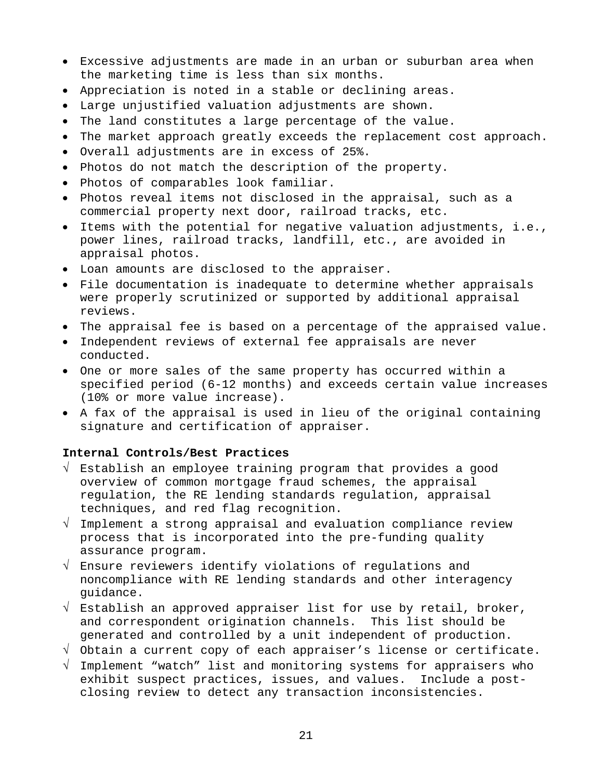- Excessive adjustments are made in an urban or suburban area when the marketing time is less than six months.
- Appreciation is noted in a stable or declining areas.
- Large unjustified valuation adjustments are shown.
- The land constitutes a large percentage of the value.
- The market approach greatly exceeds the replacement cost approach.
- Overall adjustments are in excess of 25%.
- Photos do not match the description of the property.
- Photos of comparables look familiar.
- Photos reveal items not disclosed in the appraisal, such as a commercial property next door, railroad tracks, etc.
- Items with the potential for negative valuation adjustments, i.e., power lines, railroad tracks, landfill, etc., are avoided in appraisal photos.
- Loan amounts are disclosed to the appraiser.
- File documentation is inadequate to determine whether appraisals were properly scrutinized or supported by additional appraisal reviews.
- The appraisal fee is based on a percentage of the appraised value.
- Independent reviews of external fee appraisals are never conducted.
- One or more sales of the same property has occurred within a specified period (6-12 months) and exceeds certain value increases (10% or more value increase).
- A fax of the appraisal is used in lieu of the original containing signature and certification of appraiser.

#### **Internal Controls/Best Practices**

- √ Establish an employee training program that provides a good overview of common mortgage fraud schemes, the appraisal regulation, the RE lending standards regulation, appraisal techniques, and red flag recognition.
- √ Implement a strong appraisal and evaluation compliance review process that is incorporated into the pre-funding quality assurance program.
- √ Ensure reviewers identify violations of regulations and noncompliance with RE lending standards and other interagency guidance.
- $\sqrt{\ }$  Establish an approved appraiser list for use by retail, broker, and correspondent origination channels. This list should be generated and controlled by a unit independent of production.
- √ Obtain a current copy of each appraiser's license or certificate.
- √ Implement "watch" list and monitoring systems for appraisers who exhibit suspect practices, issues, and values. Include a postclosing review to detect any transaction inconsistencies.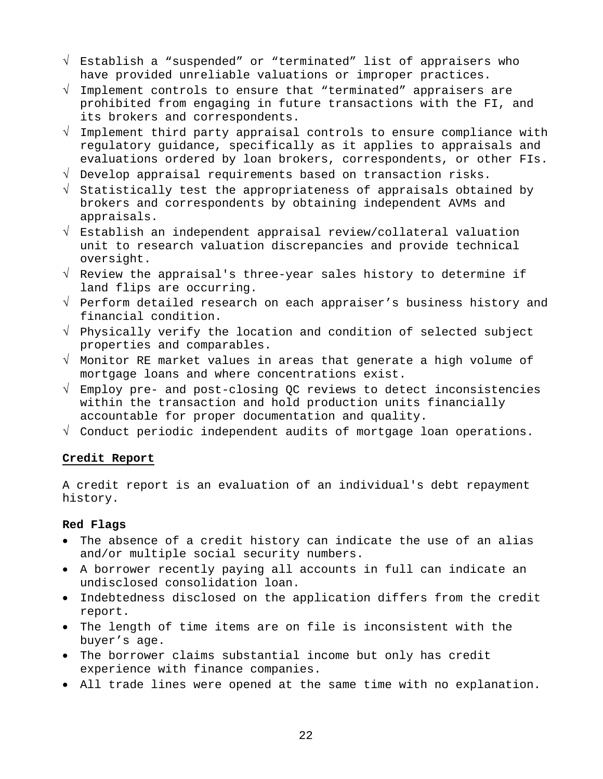- √ Establish a "suspended" or "terminated" list of appraisers who have provided unreliable valuations or improper practices.
- √ Implement controls to ensure that "terminated" appraisers are prohibited from engaging in future transactions with the FI, and its brokers and correspondents.
- √ Implement third party appraisal controls to ensure compliance with regulatory guidance, specifically as it applies to appraisals and evaluations ordered by loan brokers, correspondents, or other FIs.
- √ Develop appraisal requirements based on transaction risks.
- √ Statistically test the appropriateness of appraisals obtained by brokers and correspondents by obtaining independent AVMs and appraisals.
- √ Establish an independent appraisal review/collateral valuation unit to research valuation discrepancies and provide technical oversight.
- √ Review the appraisal's three-year sales history to determine if land flips are occurring.
- √ Perform detailed research on each appraiser's business history and financial condition.
- √ Physically verify the location and condition of selected subject properties and comparables.
- √ Monitor RE market values in areas that generate a high volume of mortgage loans and where concentrations exist.
- √ Employ pre- and post-closing QC reviews to detect inconsistencies within the transaction and hold production units financially accountable for proper documentation and quality.
- √ Conduct periodic independent audits of mortgage loan operations.

### **Credit Report**

A credit report is an evaluation of an individual's debt repayment history.

#### **Red Flags**

- The absence of a credit history can indicate the use of an alias and/or multiple social security numbers.
- A borrower recently paying all accounts in full can indicate an undisclosed consolidation loan.
- Indebtedness disclosed on the application differs from the credit report.
- The length of time items are on file is inconsistent with the buyer's age.
- The borrower claims substantial income but only has credit experience with finance companies.
- All trade lines were opened at the same time with no explanation.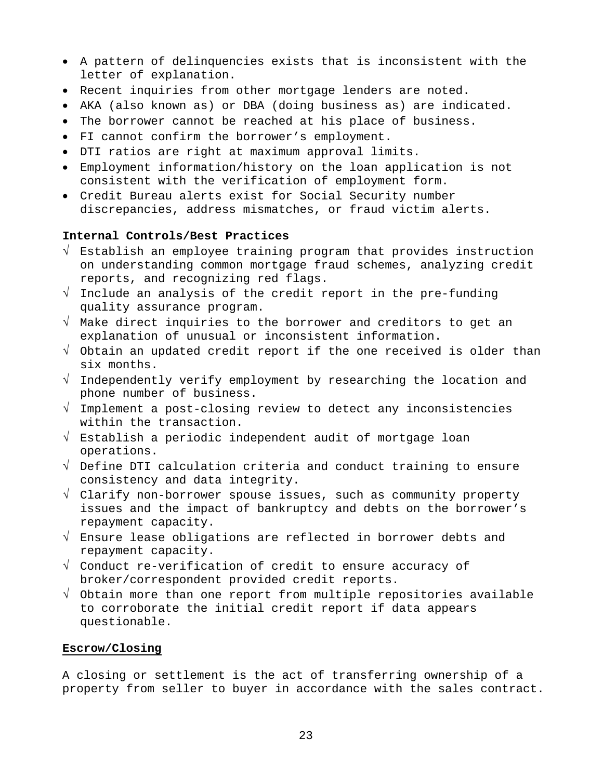- A pattern of delinquencies exists that is inconsistent with the letter of explanation.
- Recent inquiries from other mortgage lenders are noted.
- AKA (also known as) or DBA (doing business as) are indicated.
- The borrower cannot be reached at his place of business.
- FI cannot confirm the borrower's employment.
- DTI ratios are right at maximum approval limits.
- Employment information/history on the loan application is not consistent with the verification of employment form.
- Credit Bureau alerts exist for Social Security number discrepancies, address mismatches, or fraud victim alerts.

#### **Internal Controls/Best Practices**

- √ Establish an employee training program that provides instruction on understanding common mortgage fraud schemes, analyzing credit reports, and recognizing red flags.
- √ Include an analysis of the credit report in the pre-funding quality assurance program.
- √ Make direct inquiries to the borrower and creditors to get an explanation of unusual or inconsistent information.
- √ Obtain an updated credit report if the one received is older than six months.
- √ Independently verify employment by researching the location and phone number of business.
- √ Implement a post-closing review to detect any inconsistencies within the transaction.
- √ Establish a periodic independent audit of mortgage loan operations.
- √ Define DTI calculation criteria and conduct training to ensure consistency and data integrity.
- √ Clarify non-borrower spouse issues, such as community property issues and the impact of bankruptcy and debts on the borrower's repayment capacity.
- √ Ensure lease obligations are reflected in borrower debts and repayment capacity.
- √ Conduct re-verification of credit to ensure accuracy of broker/correspondent provided credit reports.
- √ Obtain more than one report from multiple repositories available to corroborate the initial credit report if data appears questionable.

#### **Escrow/Closing**

A closing or settlement is the act of transferring ownership of a property from seller to buyer in accordance with the sales contract.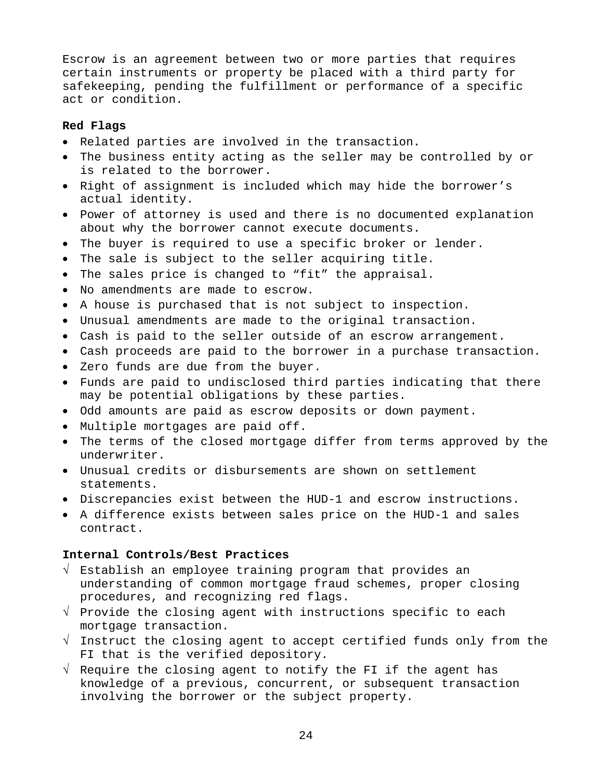Escrow is an agreement between two or more parties that requires certain instruments or property be placed with a third party for safekeeping, pending the fulfillment or performance of a specific act or condition.

#### **Red Flags**

- Related parties are involved in the transaction.
- The business entity acting as the seller may be controlled by or is related to the borrower.
- Right of assignment is included which may hide the borrower's actual identity.
- Power of attorney is used and there is no documented explanation about why the borrower cannot execute documents.
- The buyer is required to use a specific broker or lender.
- The sale is subject to the seller acquiring title.
- The sales price is changed to "fit" the appraisal.
- No amendments are made to escrow.
- A house is purchased that is not subject to inspection.
- Unusual amendments are made to the original transaction.
- Cash is paid to the seller outside of an escrow arrangement.
- Cash proceeds are paid to the borrower in a purchase transaction.
- Zero funds are due from the buyer.
- Funds are paid to undisclosed third parties indicating that there may be potential obligations by these parties.
- Odd amounts are paid as escrow deposits or down payment.
- Multiple mortgages are paid off.
- The terms of the closed mortgage differ from terms approved by the underwriter.
- Unusual credits or disbursements are shown on settlement statements.
- Discrepancies exist between the HUD-1 and escrow instructions.
- A difference exists between sales price on the HUD-1 and sales contract.

### **Internal Controls/Best Practices**

- √ Establish an employee training program that provides an understanding of common mortgage fraud schemes, proper closing procedures, and recognizing red flags.
- $\sqrt{ }$  Provide the closing agent with instructions specific to each mortgage transaction.
- √ Instruct the closing agent to accept certified funds only from the FI that is the verified depository.
- √ Require the closing agent to notify the FI if the agent has knowledge of a previous, concurrent, or subsequent transaction involving the borrower or the subject property.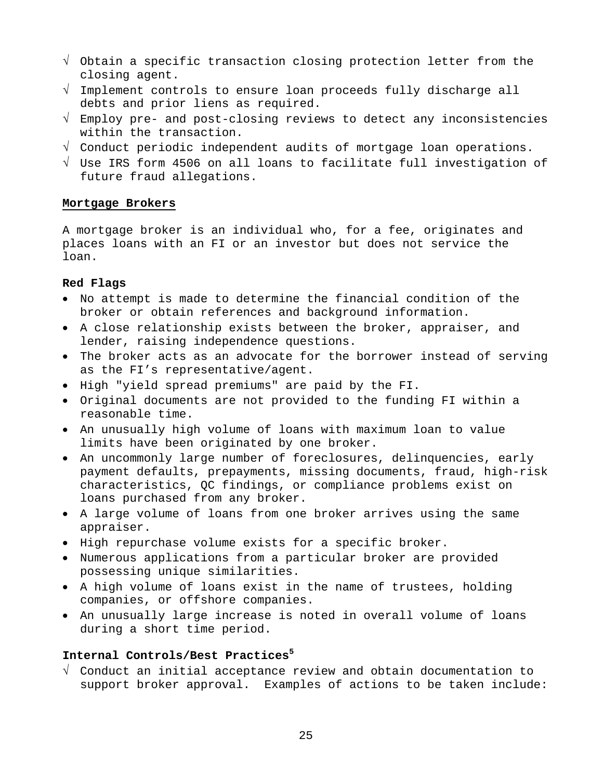- √ Obtain a specific transaction closing protection letter from the closing agent.
- √ Implement controls to ensure loan proceeds fully discharge all debts and prior liens as required.
- √ Employ pre- and post-closing reviews to detect any inconsistencies within the transaction.
- √ Conduct periodic independent audits of mortgage loan operations.
- √ Use IRS form 4506 on all loans to facilitate full investigation of future fraud allegations.

### **Mortgage Brokers**

A mortgage broker is an individual who, for a fee, originates and places loans with an FI or an investor but does not service the loan.

### **Red Flags**

- No attempt is made to determine the financial condition of the broker or obtain references and background information.
- A close relationship exists between the broker, appraiser, and lender, raising independence questions.
- The broker acts as an advocate for the borrower instead of serving as the FI's representative/agent.
- High "yield spread premiums" are paid by the FI.
- Original documents are not provided to the funding FI within a reasonable time.
- An unusually high volume of loans with maximum loan to value limits have been originated by one broker.
- An uncommonly large number of foreclosures, delinquencies, early payment defaults, prepayments, missing documents, fraud, high-risk characteristics, QC findings, or compliance problems exist on loans purchased from any broker.
- A large volume of loans from one broker arrives using the same appraiser.
- High repurchase volume exists for a specific broker.
- Numerous applications from a particular broker are provided possessing unique similarities.
- A high volume of loans exist in the name of trustees, holding companies, or offshore companies.
- An unusually large increase is noted in overall volume of loans during a short time period.

### **Internal Controls/Best Practices<sup>5</sup>**

√ Conduct an initial acceptance review and obtain documentation to support broker approval. Examples of actions to be taken include: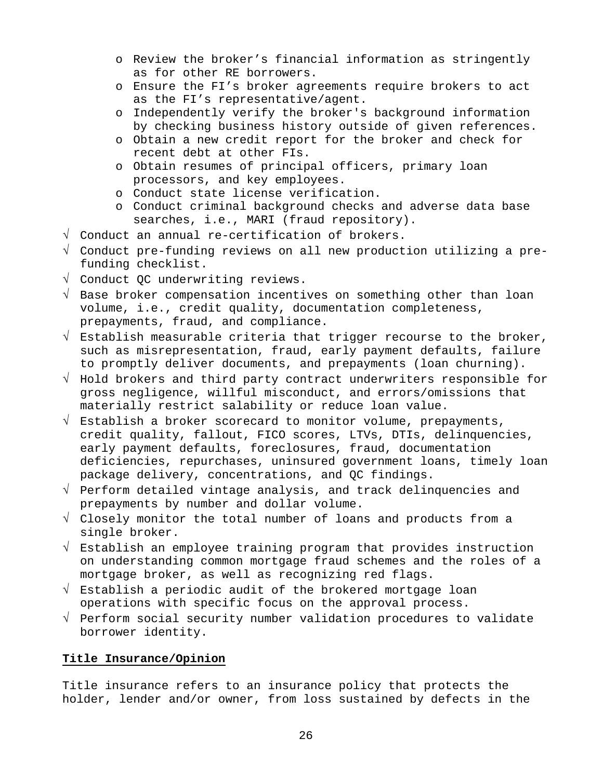- o Review the broker's financial information as stringently as for other RE borrowers.
- o Ensure the FI's broker agreements require brokers to act as the FI's representative/agent.
- o Independently verify the broker's background information by checking business history outside of given references.
- o Obtain a new credit report for the broker and check for recent debt at other FIs.
- o Obtain resumes of principal officers, primary loan processors, and key employees.
- o Conduct state license verification.
- o Conduct criminal background checks and adverse data base searches, i.e., MARI (fraud repository).
- √ Conduct an annual re-certification of brokers.
- √ Conduct pre-funding reviews on all new production utilizing a prefunding checklist.
- √ Conduct QC underwriting reviews.
- √ Base broker compensation incentives on something other than loan volume, i.e., credit quality, documentation completeness, prepayments, fraud, and compliance.
- $\sqrt{\ }$  Establish measurable criteria that trigger recourse to the broker, such as misrepresentation, fraud, early payment defaults, failure to promptly deliver documents, and prepayments (loan churning).
- √ Hold brokers and third party contract underwriters responsible for gross negligence, willful misconduct, and errors/omissions that materially restrict salability or reduce loan value.
- $\sqrt{ }$  Establish a broker scorecard to monitor volume, prepayments, credit quality, fallout, FICO scores, LTVs, DTIs, delinquencies, early payment defaults, foreclosures, fraud, documentation deficiencies, repurchases, uninsured government loans, timely loan package delivery, concentrations, and QC findings.
- √ Perform detailed vintage analysis, and track delinquencies and prepayments by number and dollar volume.
- √ Closely monitor the total number of loans and products from a single broker.
- √ Establish an employee training program that provides instruction on understanding common mortgage fraud schemes and the roles of a mortgage broker, as well as recognizing red flags.
- √ Establish a periodic audit of the brokered mortgage loan operations with specific focus on the approval process.
- √ Perform social security number validation procedures to validate borrower identity.

### **Title Insurance/Opinion**

Title insurance refers to an insurance policy that protects the holder, lender and/or owner, from loss sustained by defects in the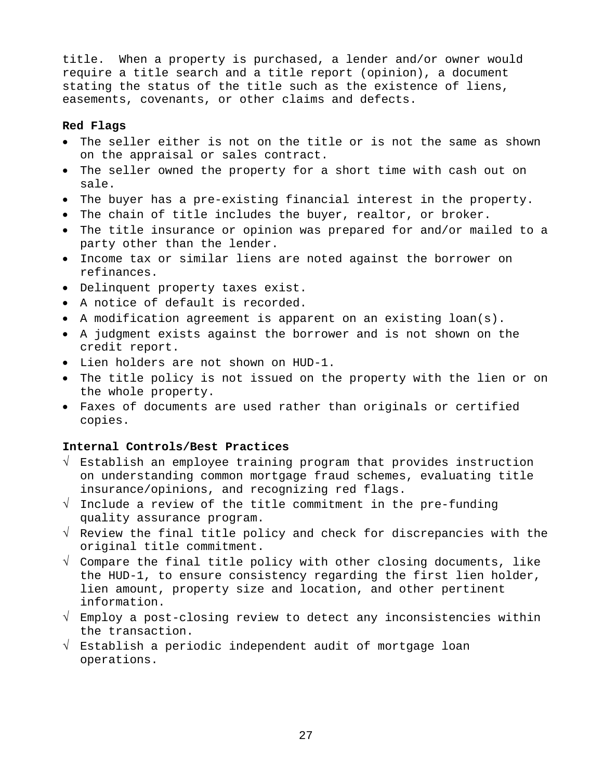title. When a property is purchased, a lender and/or owner would require a title search and a title report (opinion), a document stating the status of the title such as the existence of liens, easements, covenants, or other claims and defects.

#### **Red Flags**

- The seller either is not on the title or is not the same as shown on the appraisal or sales contract.
- The seller owned the property for a short time with cash out on sale.
- The buyer has a pre-existing financial interest in the property.
- The chain of title includes the buyer, realtor, or broker.
- The title insurance or opinion was prepared for and/or mailed to a party other than the lender.
- Income tax or similar liens are noted against the borrower on refinances.
- Delinquent property taxes exist.
- A notice of default is recorded.
- A modification agreement is apparent on an existing loan(s).
- A judgment exists against the borrower and is not shown on the credit report.
- Lien holders are not shown on HUD-1.
- The title policy is not issued on the property with the lien or on the whole property.
- Faxes of documents are used rather than originals or certified copies.

#### **Internal Controls/Best Practices**

- √ Establish an employee training program that provides instruction on understanding common mortgage fraud schemes, evaluating title insurance/opinions, and recognizing red flags.
- √ Include a review of the title commitment in the pre-funding quality assurance program.
- √ Review the final title policy and check for discrepancies with the original title commitment.
- $\sqrt{2}$  Compare the final title policy with other closing documents, like the HUD-1, to ensure consistency regarding the first lien holder, lien amount, property size and location, and other pertinent information.
- √ Employ a post-closing review to detect any inconsistencies within the transaction.
- √ Establish a periodic independent audit of mortgage loan operations.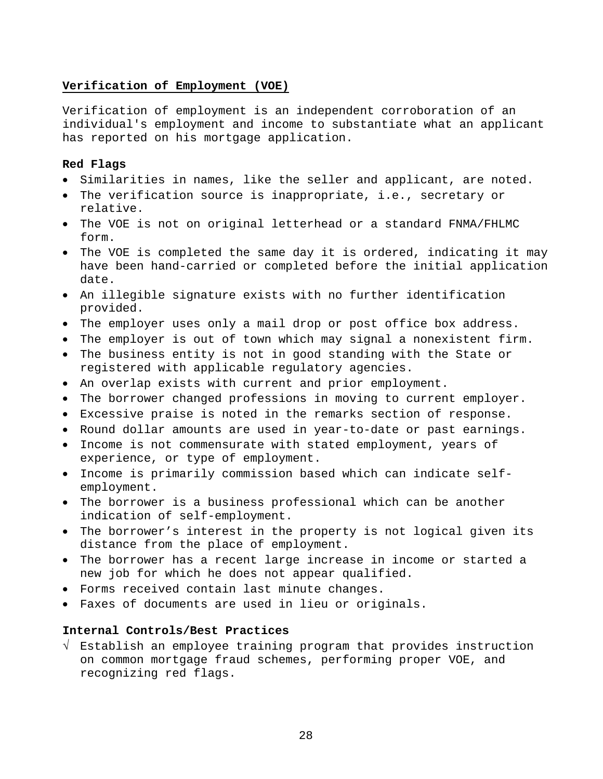### **Verification of Employment (VOE)**

Verification of employment is an independent corroboration of an individual's employment and income to substantiate what an applicant has reported on his mortgage application.

### **Red Flags**

- Similarities in names, like the seller and applicant, are noted.
- The verification source is inappropriate, i.e., secretary or relative.
- The VOE is not on original letterhead or a standard FNMA/FHLMC form.
- The VOE is completed the same day it is ordered, indicating it may have been hand-carried or completed before the initial application date.
- An illegible signature exists with no further identification provided.
- The employer uses only a mail drop or post office box address.
- The employer is out of town which may signal a nonexistent firm.
- The business entity is not in good standing with the State or registered with applicable regulatory agencies.
- An overlap exists with current and prior employment.
- The borrower changed professions in moving to current employer.
- Excessive praise is noted in the remarks section of response.
- Round dollar amounts are used in year-to-date or past earnings.
- Income is not commensurate with stated employment, years of experience, or type of employment.
- Income is primarily commission based which can indicate selfemployment.
- The borrower is a business professional which can be another indication of self-employment.
- The borrower's interest in the property is not logical given its distance from the place of employment.
- The borrower has a recent large increase in income or started a new job for which he does not appear qualified.
- Forms received contain last minute changes.
- Faxes of documents are used in lieu or originals.

### **Internal Controls/Best Practices**

√ Establish an employee training program that provides instruction on common mortgage fraud schemes, performing proper VOE, and recognizing red flags.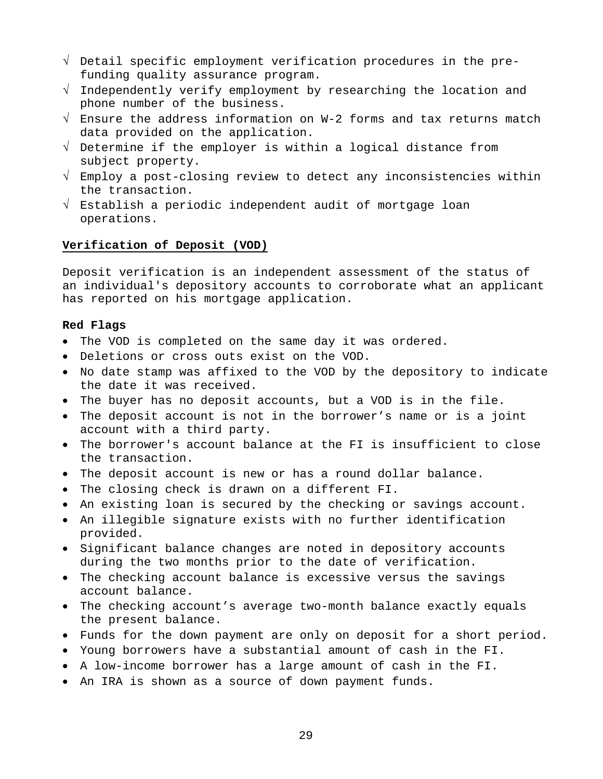- √ Detail specific employment verification procedures in the prefunding quality assurance program.
- √ Independently verify employment by researching the location and phone number of the business.
- √ Ensure the address information on W-2 forms and tax returns match data provided on the application.
- √ Determine if the employer is within a logical distance from subject property.
- √ Employ a post-closing review to detect any inconsistencies within the transaction.
- √ Establish a periodic independent audit of mortgage loan operations.

### **Verification of Deposit (VOD)**

Deposit verification is an independent assessment of the status of an individual's depository accounts to corroborate what an applicant has reported on his mortgage application.

#### **Red Flags**

- The VOD is completed on the same day it was ordered.
- Deletions or cross outs exist on the VOD.
- No date stamp was affixed to the VOD by the depository to indicate the date it was received.
- The buyer has no deposit accounts, but a VOD is in the file.
- The deposit account is not in the borrower's name or is a joint account with a third party.
- The borrower's account balance at the FI is insufficient to close the transaction.
- The deposit account is new or has a round dollar balance.
- The closing check is drawn on a different FI.
- An existing loan is secured by the checking or savings account.
- An illegible signature exists with no further identification provided.
- Significant balance changes are noted in depository accounts during the two months prior to the date of verification.
- The checking account balance is excessive versus the savings account balance.
- The checking account's average two-month balance exactly equals the present balance.
- Funds for the down payment are only on deposit for a short period.
- Young borrowers have a substantial amount of cash in the FI.
- A low-income borrower has a large amount of cash in the FI.
- An IRA is shown as a source of down payment funds.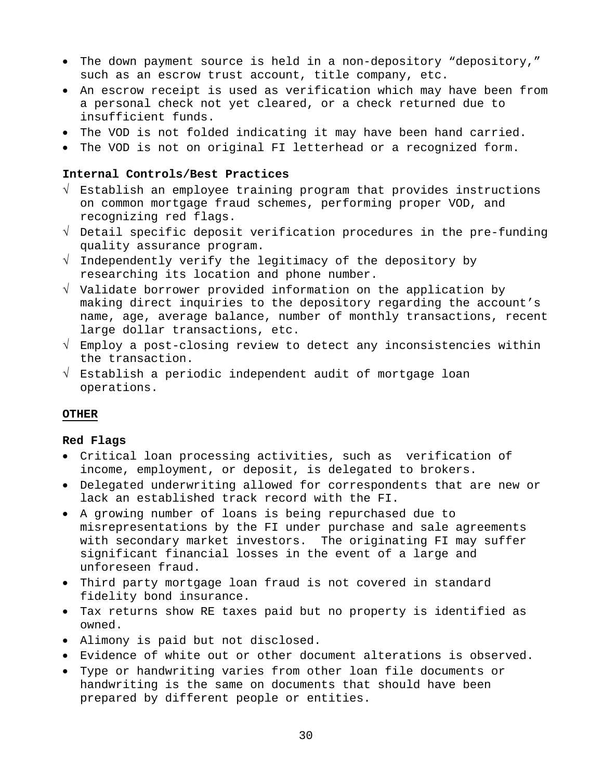- The down payment source is held in a non-depository "depository," such as an escrow trust account, title company, etc.
- An escrow receipt is used as verification which may have been from a personal check not yet cleared, or a check returned due to insufficient funds.
- The VOD is not folded indicating it may have been hand carried.
- The VOD is not on original FI letterhead or a recognized form.

#### **Internal Controls/Best Practices**

- √ Establish an employee training program that provides instructions on common mortgage fraud schemes, performing proper VOD, and recognizing red flags.
- √ Detail specific deposit verification procedures in the pre-funding quality assurance program.
- √ Independently verify the legitimacy of the depository by researching its location and phone number.
- √ Validate borrower provided information on the application by making direct inquiries to the depository regarding the account's name, age, average balance, number of monthly transactions, recent large dollar transactions, etc.
- √ Employ a post-closing review to detect any inconsistencies within the transaction.
- √ Establish a periodic independent audit of mortgage loan operations.

#### **OTHER**

#### **Red Flags**

- Critical loan processing activities, such as verification of income, employment, or deposit, is delegated to brokers.
- Delegated underwriting allowed for correspondents that are new or lack an established track record with the FI.
- A growing number of loans is being repurchased due to misrepresentations by the FI under purchase and sale agreements with secondary market investors. The originating FI may suffer significant financial losses in the event of a large and unforeseen fraud.
- Third party mortgage loan fraud is not covered in standard fidelity bond insurance.
- Tax returns show RE taxes paid but no property is identified as owned.
- Alimony is paid but not disclosed.
- Evidence of white out or other document alterations is observed.
- Type or handwriting varies from other loan file documents or handwriting is the same on documents that should have been prepared by different people or entities.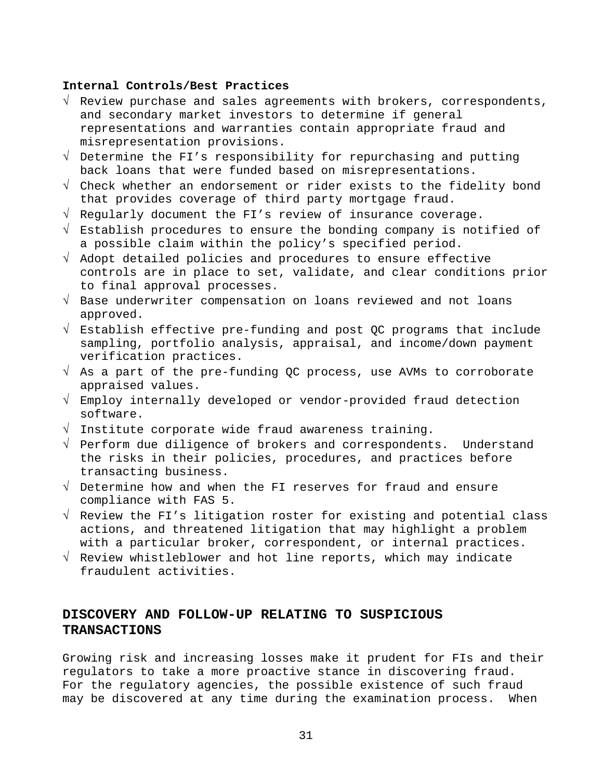#### **Internal Controls/Best Practices**

- √ Review purchase and sales agreements with brokers, correspondents, and secondary market investors to determine if general representations and warranties contain appropriate fraud and misrepresentation provisions.
- √ Determine the FI's responsibility for repurchasing and putting back loans that were funded based on misrepresentations.
- √ Check whether an endorsement or rider exists to the fidelity bond that provides coverage of third party mortgage fraud.
- √ Regularly document the FI's review of insurance coverage.
- √ Establish procedures to ensure the bonding company is notified of a possible claim within the policy's specified period.
- √ Adopt detailed policies and procedures to ensure effective controls are in place to set, validate, and clear conditions prior to final approval processes.
- √ Base underwriter compensation on loans reviewed and not loans approved.
- √ Establish effective pre-funding and post QC programs that include sampling, portfolio analysis, appraisal, and income/down payment verification practices.
- √ As a part of the pre-funding QC process, use AVMs to corroborate appraised values.
- √ Employ internally developed or vendor-provided fraud detection software.
- √ Institute corporate wide fraud awareness training.
- √ Perform due diligence of brokers and correspondents. Understand the risks in their policies, procedures, and practices before transacting business.
- √ Determine how and when the FI reserves for fraud and ensure compliance with FAS 5.
- √ Review the FI's litigation roster for existing and potential class actions, and threatened litigation that may highlight a problem with a particular broker, correspondent, or internal practices.
- √ Review whistleblower and hot line reports, which may indicate fraudulent activities.

### **DISCOVERY AND FOLLOW-UP RELATING TO SUSPICIOUS TRANSACTIONS**

Growing risk and increasing losses make it prudent for FIs and their regulators to take a more proactive stance in discovering fraud. For the regulatory agencies, the possible existence of such fraud may be discovered at any time during the examination process. When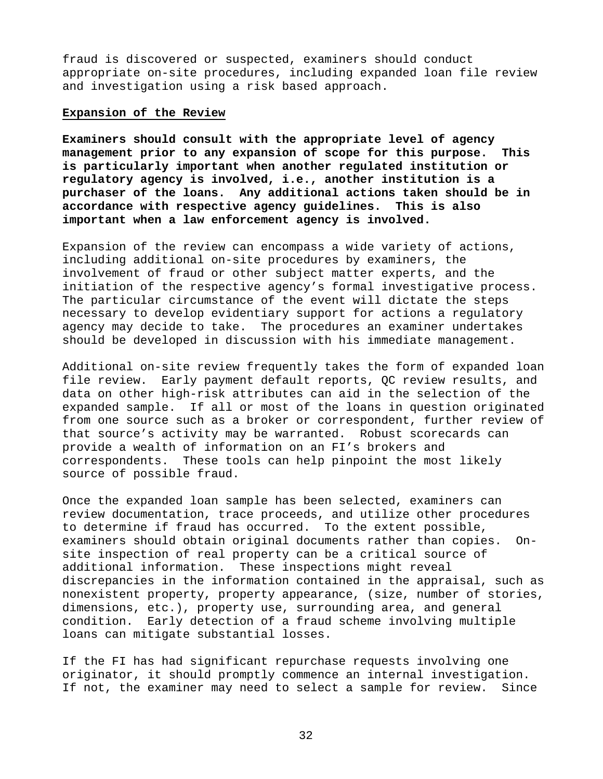fraud is discovered or suspected, examiners should conduct appropriate on-site procedures, including expanded loan file review and investigation using a risk based approach.

#### **Expansion of the Review**

**Examiners should consult with the appropriate level of agency management prior to any expansion of scope for this purpose. This is particularly important when another regulated institution or regulatory agency is involved, i.e., another institution is a purchaser of the loans. Any additional actions taken should be in accordance with respective agency guidelines. This is also important when a law enforcement agency is involved.** 

Expansion of the review can encompass a wide variety of actions, including additional on-site procedures by examiners, the involvement of fraud or other subject matter experts, and the initiation of the respective agency's formal investigative process. The particular circumstance of the event will dictate the steps necessary to develop evidentiary support for actions a regulatory agency may decide to take. The procedures an examiner undertakes should be developed in discussion with his immediate management.

Additional on-site review frequently takes the form of expanded loan file review.Early payment default reports, QC review results, and data on other high-risk attributes can aid in the selection of the expanded sample. If all or most of the loans in question originated from one source such as a broker or correspondent, further review of that source's activity may be warranted. Robust scorecards can provide a wealth of information on an FI's brokers and correspondents. These tools can help pinpoint the most likely source of possible fraud.

Once the expanded loan sample has been selected, examiners can review documentation, trace proceeds, and utilize other procedures to determine if fraud has occurred. To the extent possible, examiners should obtain original documents rather than copies. Onsite inspection of real property can be a critical source of additional information. These inspections might reveal discrepancies in the information contained in the appraisal, such as nonexistent property, property appearance, (size, number of stories, dimensions, etc.), property use, surrounding area, and general condition. Early detection of a fraud scheme involving multiple loans can mitigate substantial losses.

If the FI has had significant repurchase requests involving one originator, it should promptly commence an internal investigation. If not, the examiner may need to select a sample for review. Since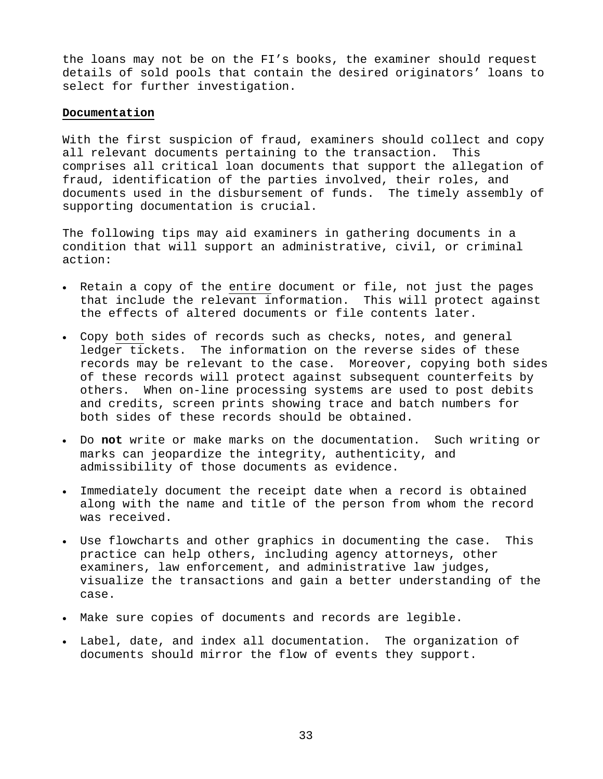the loans may not be on the FI's books, the examiner should request details of sold pools that contain the desired originators' loans to select for further investigation.

#### **Documentation**

With the first suspicion of fraud, examiners should collect and copy all relevant documents pertaining to the transaction. This comprises all critical loan documents that support the allegation of fraud, identification of the parties involved, their roles, and documents used in the disbursement of funds. The timely assembly of supporting documentation is crucial.

The following tips may aid examiners in gathering documents in a condition that will support an administrative, civil, or criminal action:

- Retain a copy of the entire document or file, not just the pages that include the relevant information. This will protect against the effects of altered documents or file contents later.
- Copy both sides of records such as checks, notes, and general ledger tickets. The information on the reverse sides of these records may be relevant to the case. Moreover, copying both sides of these records will protect against subsequent counterfeits by others. When on-line processing systems are used to post debits and credits, screen prints showing trace and batch numbers for both sides of these records should be obtained.
- Do **not** write or make marks on the documentation. Such writing or marks can jeopardize the integrity, authenticity, and admissibility of those documents as evidence.
- Immediately document the receipt date when a record is obtained along with the name and title of the person from whom the record was received.
- Use flowcharts and other graphics in documenting the case. This practice can help others, including agency attorneys, other examiners, law enforcement, and administrative law judges, visualize the transactions and gain a better understanding of the case.
- Make sure copies of documents and records are legible.
- Label, date, and index all documentation. The organization of documents should mirror the flow of events they support.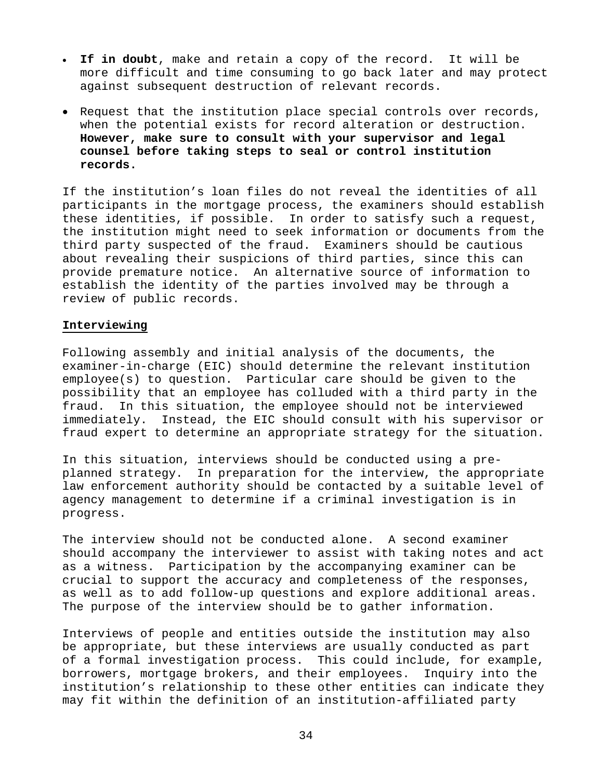- **If in doubt**, make and retain a copy of the record. It will be more difficult and time consuming to go back later and may protect against subsequent destruction of relevant records.
- Request that the institution place special controls over records, when the potential exists for record alteration or destruction. **However, make sure to consult with your supervisor and legal counsel before taking steps to seal or control institution records.**

If the institution's loan files do not reveal the identities of all participants in the mortgage process, the examiners should establish these identities, if possible. In order to satisfy such a request, the institution might need to seek information or documents from the third party suspected of the fraud. Examiners should be cautious about revealing their suspicions of third parties, since this can provide premature notice. An alternative source of information to establish the identity of the parties involved may be through a review of public records.

#### **Interviewing**

Following assembly and initial analysis of the documents, the examiner-in-charge (EIC) should determine the relevant institution employee(s) to question. Particular care should be given to the possibility that an employee has colluded with a third party in the fraud. In this situation, the employee should not be interviewed immediately. Instead, the EIC should consult with his supervisor or fraud expert to determine an appropriate strategy for the situation.

In this situation, interviews should be conducted using a preplanned strategy. In preparation for the interview, the appropriate law enforcement authority should be contacted by a suitable level of agency management to determine if a criminal investigation is in progress.

The interview should not be conducted alone. A second examiner should accompany the interviewer to assist with taking notes and act as a witness. Participation by the accompanying examiner can be crucial to support the accuracy and completeness of the responses, as well as to add follow-up questions and explore additional areas. The purpose of the interview should be to gather information.

Interviews of people and entities outside the institution may also be appropriate, but these interviews are usually conducted as part of a formal investigation process. This could include, for example, borrowers, mortgage brokers, and their employees. Inquiry into the institution's relationship to these other entities can indicate they may fit within the definition of an institution-affiliated party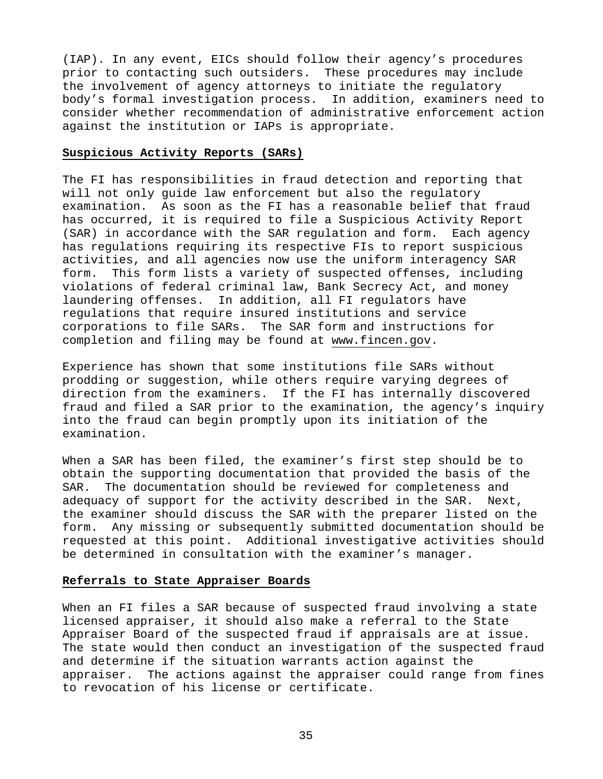(IAP). In any event, EICs should follow their agency's procedures prior to contacting such outsiders. These procedures may include the involvement of agency attorneys to initiate the regulatory body's formal investigation process. In addition, examiners need to consider whether recommendation of administrative enforcement action against the institution or IAPs is appropriate.

#### **Suspicious Activity Reports (SARs)**

The FI has responsibilities in fraud detection and reporting that will not only guide law enforcement but also the regulatory examination. As soon as the FI has a reasonable belief that fraud has occurred, it is required to file a Suspicious Activity Report (SAR) in accordance with the SAR regulation and form. Each agency has regulations requiring its respective FIs to report suspicious activities, and all agencies now use the uniform interagency SAR form. This form lists a variety of suspected offenses, including violations of federal criminal law, Bank Secrecy Act, and money laundering offenses. In addition, all FI regulators have regulations that require insured institutions and service corporations to file SARs. The SAR form and instructions for completion and filing may be found at www.fincen.gov.

Experience has shown that some institutions file SARs without prodding or suggestion, while others require varying degrees of direction from the examiners. If the FI has internally discovered fraud and filed a SAR prior to the examination, the agency's inquiry into the fraud can begin promptly upon its initiation of the examination.

When a SAR has been filed, the examiner's first step should be to obtain the supporting documentation that provided the basis of the SAR. The documentation should be reviewed for completeness and adequacy of support for the activity described in the SAR. Next, the examiner should discuss the SAR with the preparer listed on the form. Any missing or subsequently submitted documentation should be requested at this point. Additional investigative activities should be determined in consultation with the examiner's manager.

#### **Referrals to State Appraiser Boards**

When an FI files a SAR because of suspected fraud involving a state licensed appraiser, it should also make a referral to the State Appraiser Board of the suspected fraud if appraisals are at issue. The state would then conduct an investigation of the suspected fraud and determine if the situation warrants action against the appraiser. The actions against the appraiser could range from fines to revocation of his license or certificate.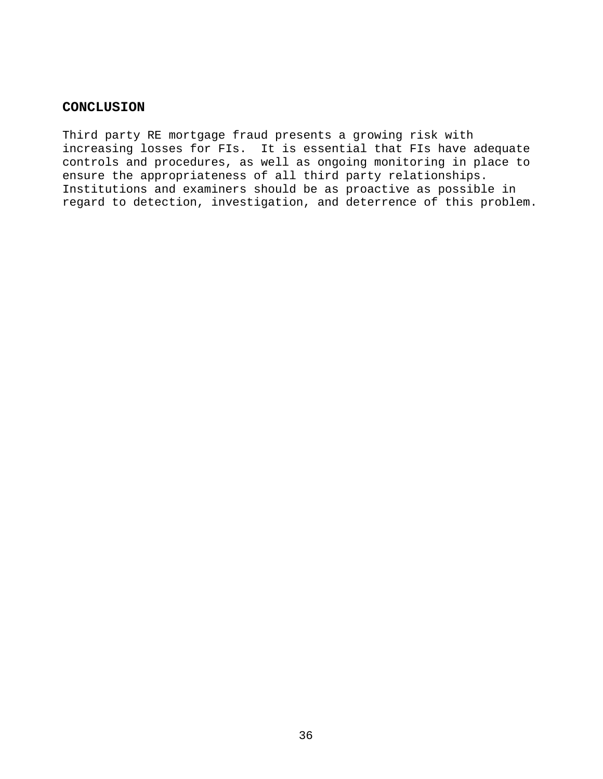### **CONCLUSION**

Third party RE mortgage fraud presents a growing risk with increasing losses for FIs. It is essential that FIs have adequate controls and procedures, as well as ongoing monitoring in place to ensure the appropriateness of all third party relationships. Institutions and examiners should be as proactive as possible in regard to detection, investigation, and deterrence of this problem.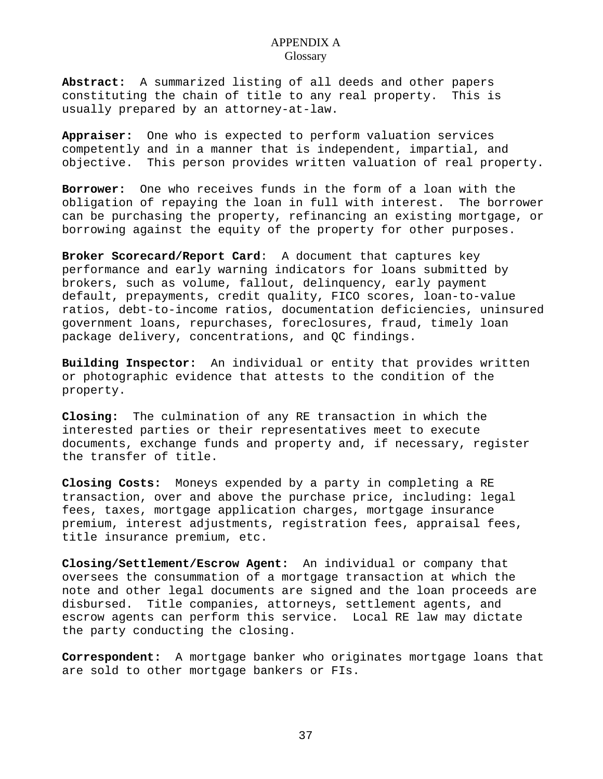**Abstract:** A summarized listing of all deeds and other papers constituting the chain of title to any real property. This is usually prepared by an attorney-at-law.

**Appraiser:** One who is expected to perform valuation services competently and in a manner that is independent, impartial, and objective. This person provides written valuation of real property.

**Borrower:** One who receives funds in the form of a loan with the obligation of repaying the loan in full with interest. The borrower can be purchasing the property, refinancing an existing mortgage, or borrowing against the equity of the property for other purposes.

**Broker Scorecard/Report Card**: A document that captures key performance and early warning indicators for loans submitted by brokers, such as volume, fallout, delinquency, early payment default, prepayments, credit quality, FICO scores, loan-to-value ratios, debt-to-income ratios, documentation deficiencies, uninsured government loans, repurchases, foreclosures, fraud, timely loan package delivery, concentrations, and QC findings.

**Building Inspector:** An individual or entity that provides written or photographic evidence that attests to the condition of the property.

**Closing:** The culmination of any RE transaction in which the interested parties or their representatives meet to execute documents, exchange funds and property and, if necessary, register the transfer of title.

**Closing Costs:** Moneys expended by a party in completing a RE transaction, over and above the purchase price, including: legal fees, taxes, mortgage application charges, mortgage insurance premium, interest adjustments, registration fees, appraisal fees, title insurance premium, etc.

**Closing/Settlement/Escrow Agent:** An individual or company that oversees the consummation of a mortgage transaction at which the note and other legal documents are signed and the loan proceeds are disbursed. Title companies, attorneys, settlement agents, and escrow agents can perform this service. Local RE law may dictate the party conducting the closing.

**Correspondent:** A mortgage banker who originates mortgage loans that are sold to other mortgage bankers or FIs.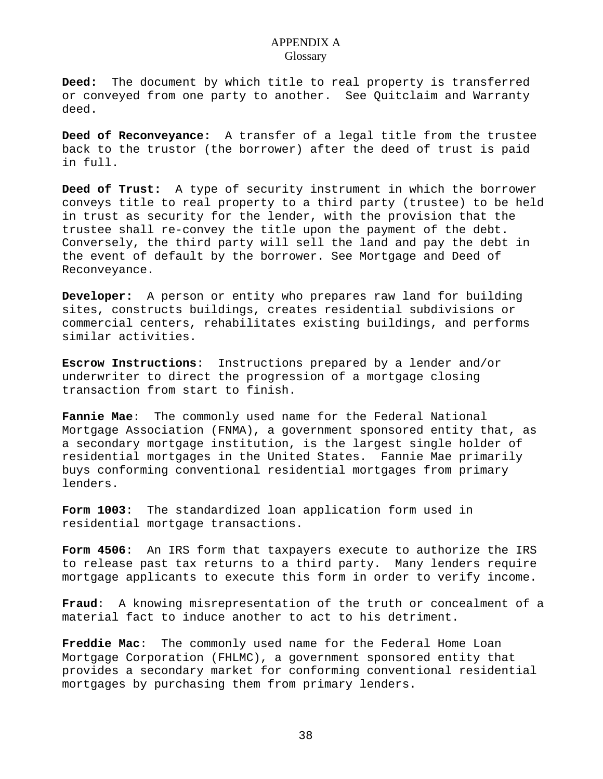**Deed:** The document by which title to real property is transferred or conveyed from one party to another. See Quitclaim and Warranty deed.

**Deed of Reconveyance:** A transfer of a legal title from the trustee back to the trustor (the borrower) after the deed of trust is paid in full.

**Deed of Trust:** A type of security instrument in which the borrower conveys title to real property to a third party (trustee) to be held in trust as security for the lender, with the provision that the trustee shall re-convey the title upon the payment of the debt. Conversely, the third party will sell the land and pay the debt in the event of default by the borrower. See Mortgage and Deed of Reconveyance.

**Developer:** A person or entity who prepares raw land for building sites, constructs buildings, creates residential subdivisions or commercial centers, rehabilitates existing buildings, and performs similar activities.

**Escrow Instructions**: Instructions prepared by a lender and/or underwriter to direct the progression of a mortgage closing transaction from start to finish.

**Fannie Mae**: The commonly used name for the Federal National Mortgage Association (FNMA), a government sponsored entity that, as a secondary mortgage institution, is the largest single holder of residential mortgages in the United States. Fannie Mae primarily buys conforming conventional residential mortgages from primary lenders.

**Form 1003**: The standardized loan application form used in residential mortgage transactions.

**Form 4506**: An IRS form that taxpayers execute to authorize the IRS to release past tax returns to a third party. Many lenders require mortgage applicants to execute this form in order to verify income.

**Fraud**: A knowing misrepresentation of the truth or concealment of a material fact to induce another to act to his detriment.

**Freddie Mac**: The commonly used name for the Federal Home Loan Mortgage Corporation (FHLMC), a government sponsored entity that provides a secondary market for conforming conventional residential mortgages by purchasing them from primary lenders.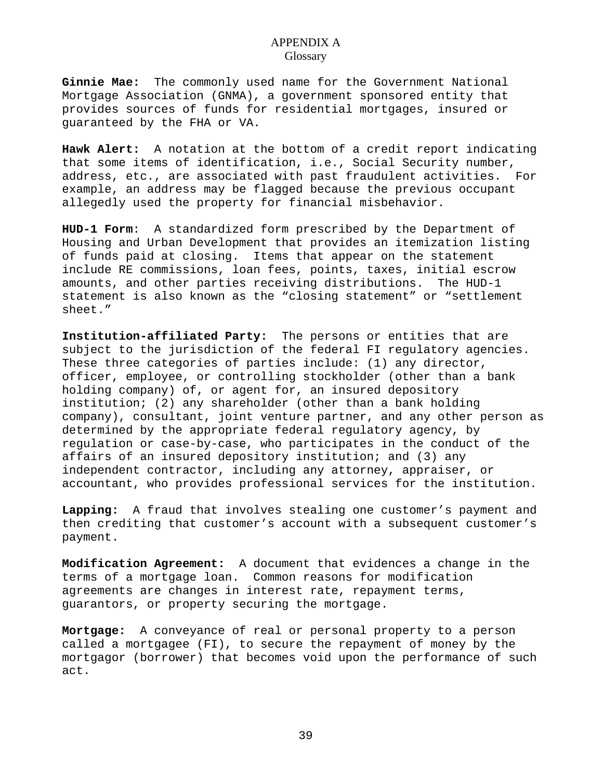**Ginnie Mae:** The commonly used name for the Government National Mortgage Association (GNMA), a government sponsored entity that provides sources of funds for residential mortgages, insured or guaranteed by the FHA or VA.

**Hawk Alert:** A notation at the bottom of a credit report indicating that some items of identification, i.e., Social Security number, address, etc., are associated with past fraudulent activities. For example, an address may be flagged because the previous occupant allegedly used the property for financial misbehavior.

**HUD-1 Form**: A standardized form prescribed by the Department of Housing and Urban Development that provides an itemization listing of funds paid at closing. Items that appear on the statement include RE commissions, loan fees, points, taxes, initial escrow amounts, and other parties receiving distributions. The HUD-1 statement is also known as the "closing statement" or "settlement sheet."

**Institution-affiliated Party:** The persons or entities that are subject to the jurisdiction of the federal FI regulatory agencies. These three categories of parties include: (1) any director, officer, employee, or controlling stockholder (other than a bank holding company) of, or agent for, an insured depository institution; (2) any shareholder (other than a bank holding company), consultant, joint venture partner, and any other person as determined by the appropriate federal regulatory agency, by regulation or case-by-case, who participates in the conduct of the affairs of an insured depository institution; and (3) any independent contractor, including any attorney, appraiser, or accountant, who provides professional services for the institution.

**Lapping:** A fraud that involves stealing one customer's payment and then crediting that customer's account with a subsequent customer's payment.

**Modification Agreement:** A document that evidences a change in the terms of a mortgage loan. Common reasons for modification agreements are changes in interest rate, repayment terms, guarantors, or property securing the mortgage.

**Mortgage:** A conveyance of real or personal property to a person called a mortgagee (FI), to secure the repayment of money by the mortgagor (borrower) that becomes void upon the performance of such act.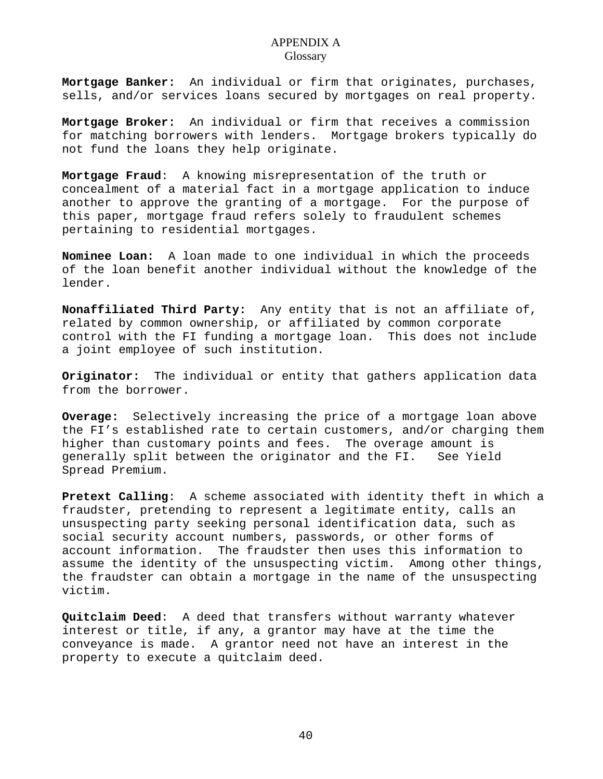**Mortgage Banker:** An individual or firm that originates, purchases, sells, and/or services loans secured by mortgages on real property.

**Mortgage Broker:** An individual or firm that receives a commission for matching borrowers with lenders. Mortgage brokers typically do not fund the loans they help originate.

**Mortgage Fraud**: A knowing misrepresentation of the truth or concealment of a material fact in a mortgage application to induce another to approve the granting of a mortgage. For the purpose of this paper, mortgage fraud refers solely to fraudulent schemes pertaining to residential mortgages.

**Nominee Loan:** A loan made to one individual in which the proceeds of the loan benefit another individual without the knowledge of the lender.

**Nonaffiliated Third Party:** Any entity that is not an affiliate of, related by common ownership, or affiliated by common corporate control with the FI funding a mortgage loan. This does not include a joint employee of such institution.

**Originator:** The individual or entity that gathers application data from the borrower.

**Overage:** Selectively increasing the price of a mortgage loan above the FI's established rate to certain customers, and/or charging them higher than customary points and fees. The overage amount is generally split between the originator and the FI. See Yield Spread Premium.

**Pretext Calling**: A scheme associated with identity theft in which a fraudster, pretending to represent a legitimate entity, calls an unsuspecting party seeking personal identification data, such as social security account numbers, passwords, or other forms of account information. The fraudster then uses this information to assume the identity of the unsuspecting victim. Among other things, the fraudster can obtain a mortgage in the name of the unsuspecting victim.

**Quitclaim Deed**: A deed that transfers without warranty whatever interest or title, if any, a grantor may have at the time the conveyance is made. A grantor need not have an interest in the property to execute a quitclaim deed.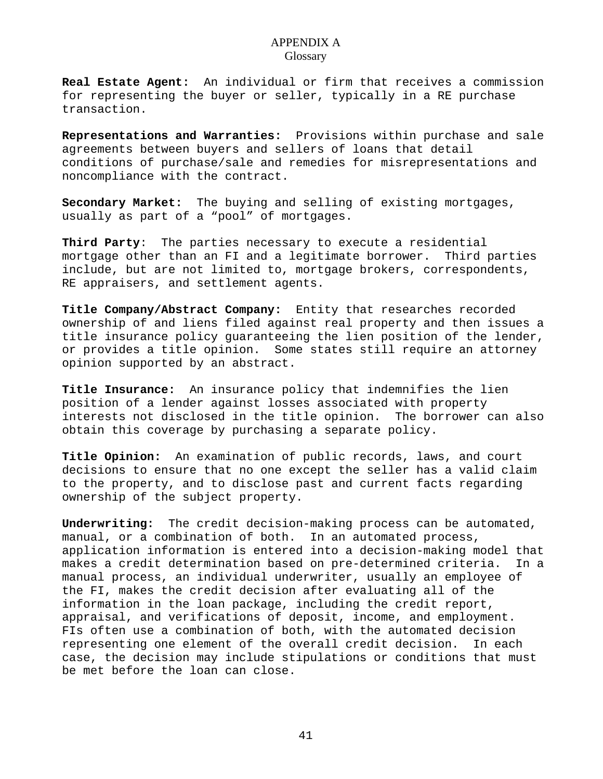**Real Estate Agent:** An individual or firm that receives a commission for representing the buyer or seller, typically in a RE purchase transaction.

**Representations and Warranties:** Provisions within purchase and sale agreements between buyers and sellers of loans that detail conditions of purchase/sale and remedies for misrepresentations and noncompliance with the contract.

**Secondary Market:** The buying and selling of existing mortgages, usually as part of a "pool" of mortgages.

**Third Party**: The parties necessary to execute a residential mortgage other than an FI and a legitimate borrower. Third parties include, but are not limited to, mortgage brokers, correspondents, RE appraisers, and settlement agents.

**Title Company/Abstract Company:** Entity that researches recorded ownership of and liens filed against real property and then issues a title insurance policy guaranteeing the lien position of the lender, or provides a title opinion. Some states still require an attorney opinion supported by an abstract.

**Title Insurance:** An insurance policy that indemnifies the lien position of a lender against losses associated with property interests not disclosed in the title opinion. The borrower can also obtain this coverage by purchasing a separate policy.

**Title Opinion:** An examination of public records, laws, and court decisions to ensure that no one except the seller has a valid claim to the property, and to disclose past and current facts regarding ownership of the subject property.

**Underwriting:** The credit decision-making process can be automated, manual, or a combination of both. In an automated process, application information is entered into a decision-making model that makes a credit determination based on pre-determined criteria. In a manual process, an individual underwriter, usually an employee of the FI, makes the credit decision after evaluating all of the information in the loan package, including the credit report, appraisal, and verifications of deposit, income, and employment. FIs often use a combination of both, with the automated decision representing one element of the overall credit decision. In each case, the decision may include stipulations or conditions that must be met before the loan can close.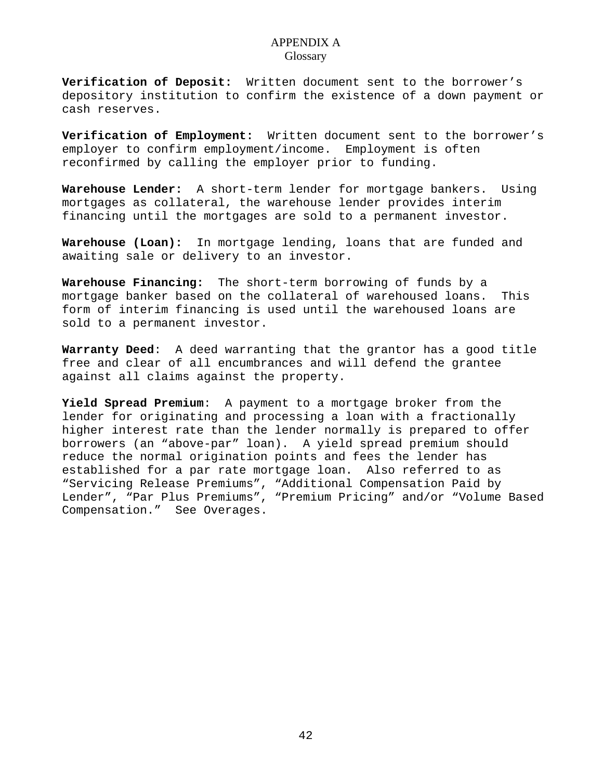**Verification of Deposit:** Written document sent to the borrower's depository institution to confirm the existence of a down payment or cash reserves.

**Verification of Employment:** Written document sent to the borrower's employer to confirm employment/income. Employment is often reconfirmed by calling the employer prior to funding.

**Warehouse Lender:** A short-term lender for mortgage bankers. Using mortgages as collateral, the warehouse lender provides interim financing until the mortgages are sold to a permanent investor.

**Warehouse (Loan):** In mortgage lending, loans that are funded and awaiting sale or delivery to an investor.

**Warehouse Financing:** The short-term borrowing of funds by a mortgage banker based on the collateral of warehoused loans. This form of interim financing is used until the warehoused loans are sold to a permanent investor.

**Warranty Deed**: A deed warranting that the grantor has a good title free and clear of all encumbrances and will defend the grantee against all claims against the property.

**Yield Spread Premium**: A payment to a mortgage broker from the lender for originating and processing a loan with a fractionally higher interest rate than the lender normally is prepared to offer borrowers (an "above-par" loan). A yield spread premium should reduce the normal origination points and fees the lender has established for a par rate mortgage loan. Also referred to as "Servicing Release Premiums", "Additional Compensation Paid by Lender", "Par Plus Premiums", "Premium Pricing" and/or "Volume Based Compensation." See Overages.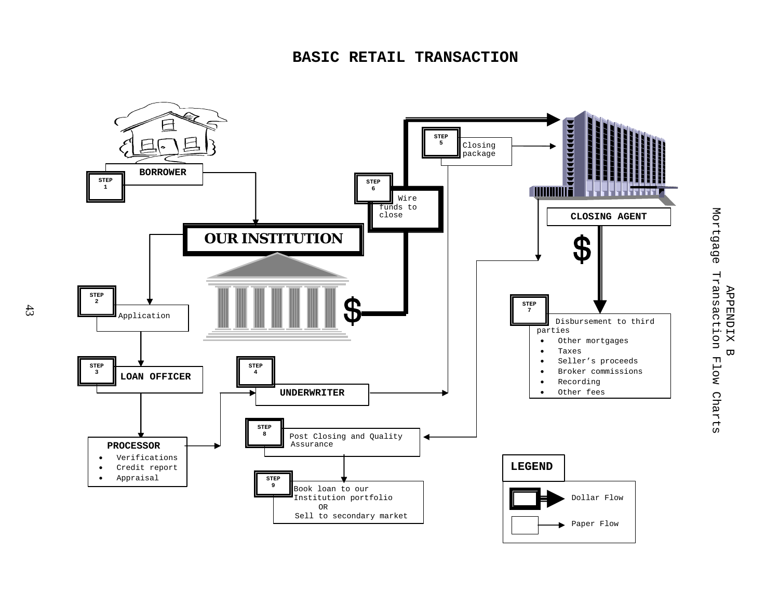

Mortgage Transaction Mortgage Transaction Flow Charts **APPENDIX** APPENDIX B  $\overline{\omega}$ Flow Charts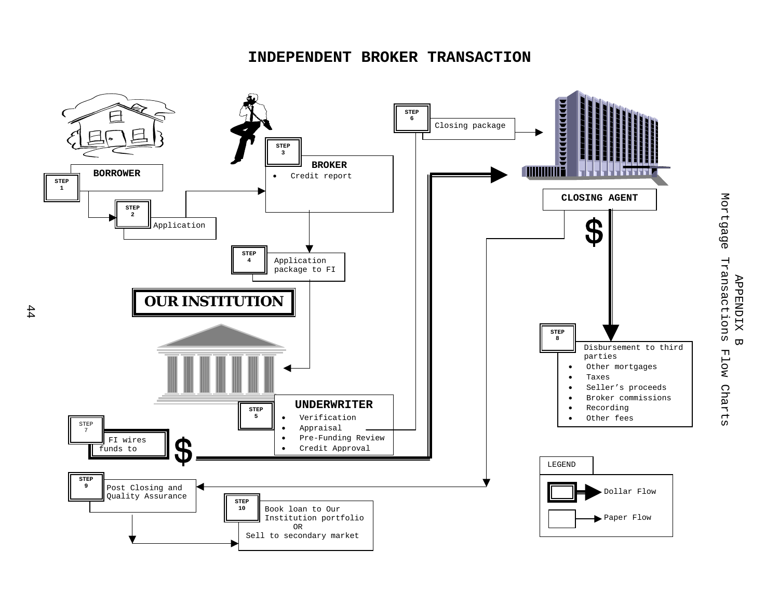### **INDEPENDENT BROKER TRANSACTION**



Mortgage Mortgage Transactions Flow Charts Transactions **APPENDIX** APPENDIX B  $\overline{\mathbf{u}}$ Flow Charts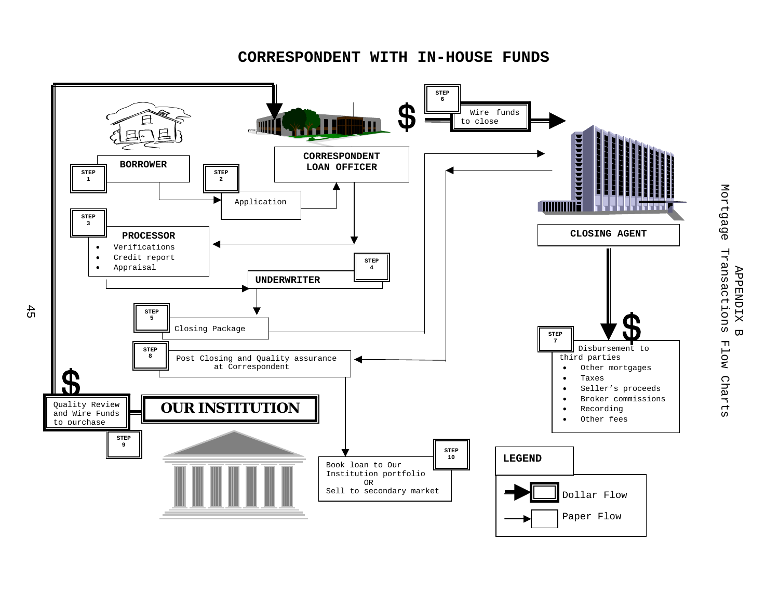**CORRESPONDENT WITH IN-HOUSE FUNDS** 



 $45$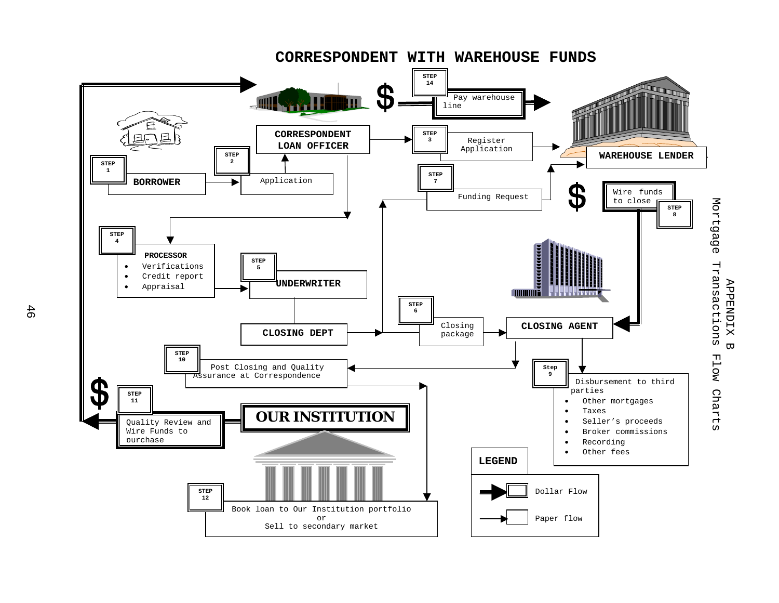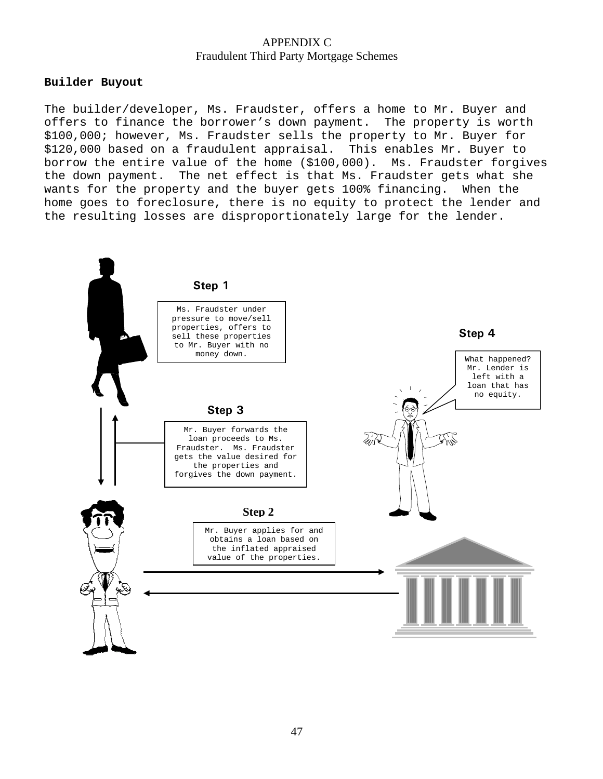#### **Builder Buyout**

The builder/developer, Ms. Fraudster, offers a home to Mr. Buyer and offers to finance the borrower's down payment. The property is worth \$100,000; however, Ms. Fraudster sells the property to Mr. Buyer for \$120,000 based on a fraudulent appraisal. This enables Mr. Buyer to borrow the entire value of the home (\$100,000). Ms. Fraudster forgives the down payment. The net effect is that Ms. Fraudster gets what she wants for the property and the buyer gets 100% financing. When the home goes to foreclosure, there is no equity to protect the lender and the resulting losses are disproportionately large for the lender.

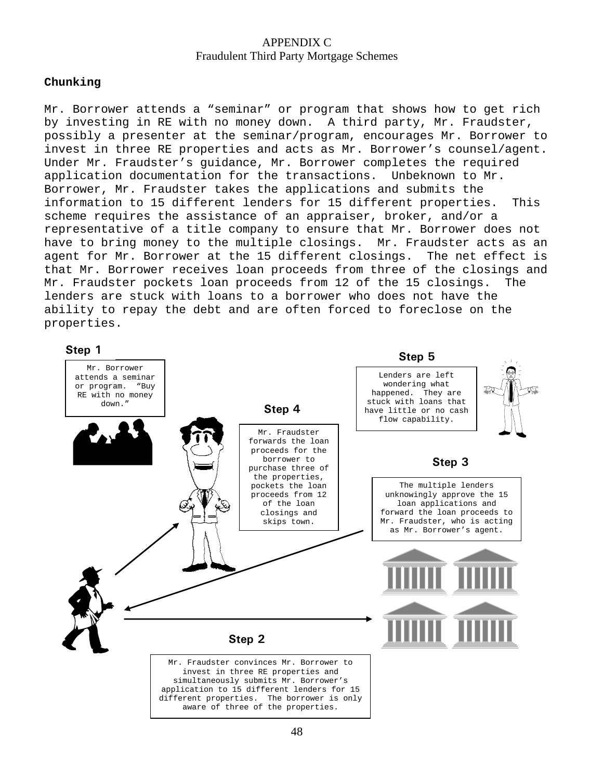#### **Chunking**

Mr. Borrower attends a "seminar" or program that shows how to get rich by investing in RE with no money down. A third party, Mr. Fraudster, possibly a presenter at the seminar/program, encourages Mr. Borrower to invest in three RE properties and acts as Mr. Borrower's counsel/agent. Under Mr. Fraudster's guidance, Mr. Borrower completes the required application documentation for the transactions. Unbeknown to Mr. Borrower, Mr. Fraudster takes the applications and submits the information to 15 different lenders for 15 different properties. This scheme requires the assistance of an appraiser, broker, and/or a representative of a title company to ensure that Mr. Borrower does not have to bring money to the multiple closings. Mr. Fraudster acts as an agent for Mr. Borrower at the 15 different closings. The net effect is that Mr. Borrower receives loan proceeds from three of the closings and Mr. Fraudster pockets loan proceeds from 12 of the 15 closings. The lenders are stuck with loans to a borrower who does not have the ability to repay the debt and are often forced to foreclose on the properties.

Mr. Borrower attends a seminar or program. "Buy RE with no money down." **Step 1**  Mr. Fraudster convinces Mr. Borrower to invest in three RE properties and simultaneously submits Mr. Borrower's application to 15 different lenders for 15 different properties. The borrower is only aware of three of the properties. **Step 2 Step 3**  The multiple lenders unknowingly approve the 15 loan applications and forward the loan proceeds to Mr. Fraudster, who is acting as Mr. Borrower's agent. **Step 4** Mr. Fraudster forwards the loan proceeds for the borrower to purchase three of the properties, pockets the loan proceeds from 12 of the loan closings and skips town. **Step 5**  Lenders are left wondering what happened. They are stuck with loans that have little or no cash flow capability.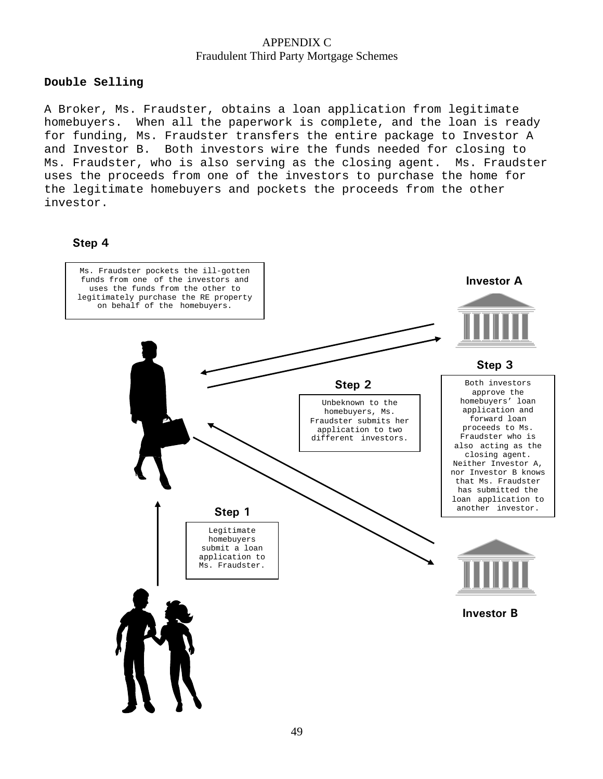### **Double Selling**

A Broker, Ms. Fraudster, obtains a loan application from legitimate homebuyers. When all the paperwork is complete, and the loan is ready for funding, Ms. Fraudster transfers the entire package to Investor A and Investor B. Both investors wire the funds needed for closing to Ms. Fraudster, who is also serving as the closing agent. Ms. Fraudster uses the proceeds from one of the investors to purchase the home for the legitimate homebuyers and pockets the proceeds from the other investor.

### **Step 4**

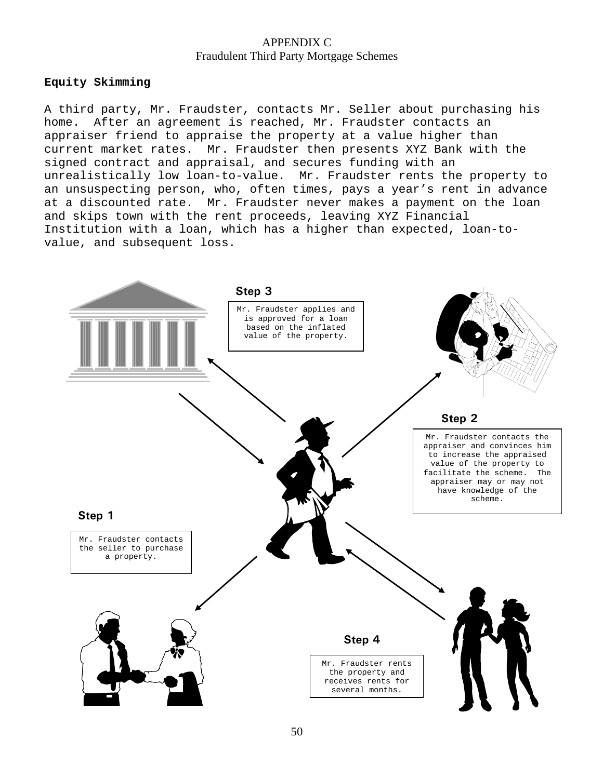#### **Equity Skimming**

A third party, Mr. Fraudster, contacts Mr. Seller about purchasing his home. After an agreement is reached, Mr. Fraudster contacts an appraiser friend to appraise the property at a value higher than current market rates. Mr. Fraudster then presents XYZ Bank with the signed contract and appraisal, and secures funding with an unrealistically low loan-to-value. Mr. Fraudster rents the property to an unsuspecting person, who, often times, pays a year's rent in advance at a discounted rate. Mr. Fraudster never makes a payment on the loan and skips town with the rent proceeds, leaving XYZ Financial Institution with a loan, which has a higher than expected, loan-tovalue, and subsequent loss.

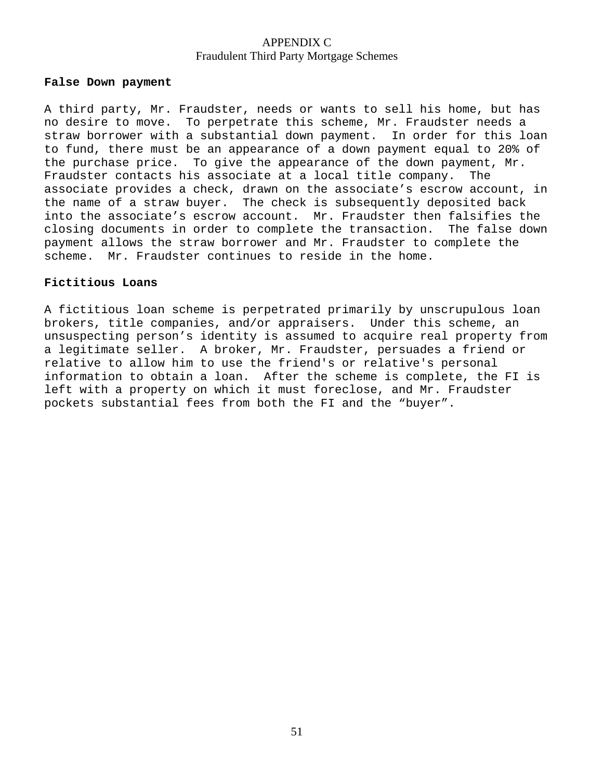#### **False Down payment**

A third party, Mr. Fraudster, needs or wants to sell his home, but has no desire to move. To perpetrate this scheme, Mr. Fraudster needs a straw borrower with a substantial down payment. In order for this loan to fund, there must be an appearance of a down payment equal to 20% of the purchase price. To give the appearance of the down payment, Mr. Fraudster contacts his associate at a local title company. The associate provides a check, drawn on the associate's escrow account, in the name of a straw buyer. The check is subsequently deposited back into the associate's escrow account. Mr. Fraudster then falsifies the closing documents in order to complete the transaction. The false down payment allows the straw borrower and Mr. Fraudster to complete the scheme. Mr. Fraudster continues to reside in the home.

#### **Fictitious Loans**

A fictitious loan scheme is perpetrated primarily by unscrupulous loan brokers, title companies, and/or appraisers. Under this scheme, an unsuspecting person's identity is assumed to acquire real property from a legitimate seller. A broker, Mr. Fraudster, persuades a friend or relative to allow him to use the friend's or relative's personal information to obtain a loan. After the scheme is complete, the FI is left with a property on which it must foreclose, and Mr. Fraudster pockets substantial fees from both the FI and the "buyer".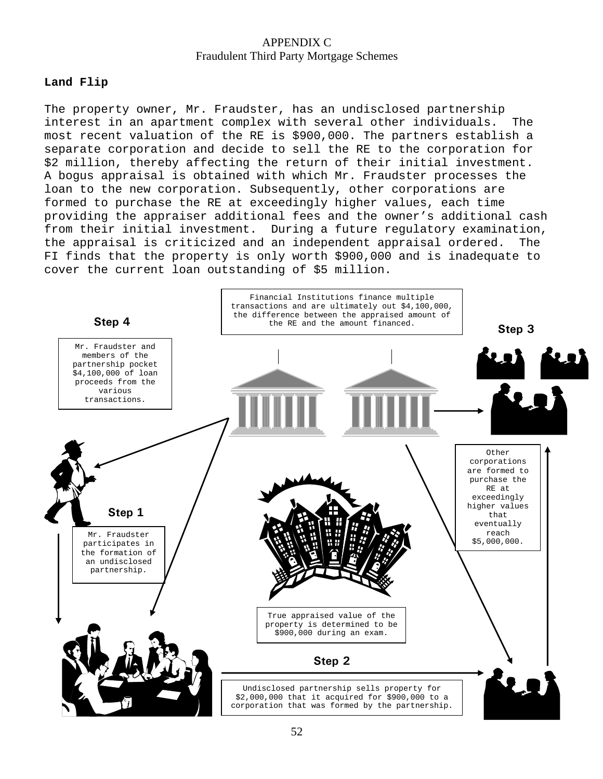### **Land Flip**

The property owner, Mr. Fraudster, has an undisclosed partnership interest in an apartment complex with several other individuals. The most recent valuation of the RE is \$900,000. The partners establish a separate corporation and decide to sell the RE to the corporation for \$2 million, thereby affecting the return of their initial investment. A bogus appraisal is obtained with which Mr. Fraudster processes the loan to the new corporation. Subsequently, other corporations are formed to purchase the RE at exceedingly higher values, each time providing the appraiser additional fees and the owner's additional cash from their initial investment. During a future regulatory examination, the appraisal is criticized and an independent appraisal ordered. The FI finds that the property is only worth \$900,000 and is inadequate to cover the current loan outstanding of \$5 million.

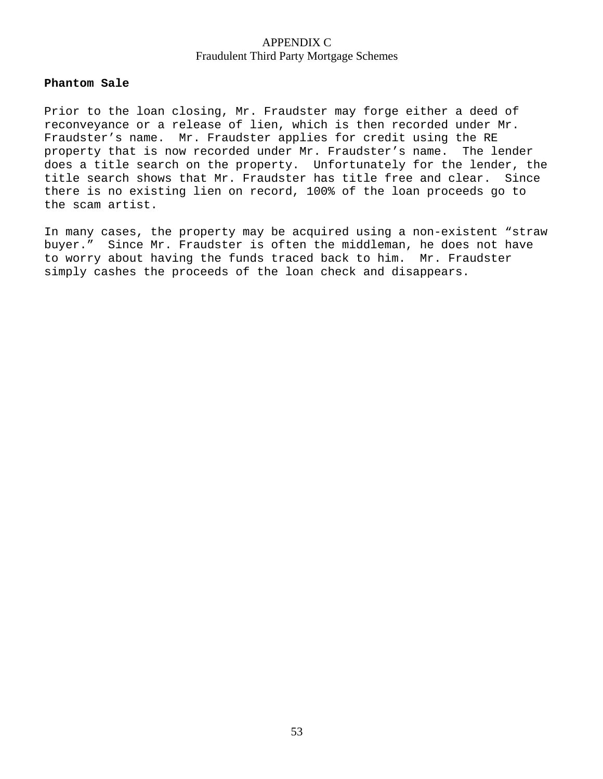### **Phantom Sale**

Prior to the loan closing, Mr. Fraudster may forge either a deed of reconveyance or a release of lien, which is then recorded under Mr. Fraudster's name. Mr. Fraudster applies for credit using the RE property that is now recorded under Mr. Fraudster's name. The lender does a title search on the property. Unfortunately for the lender, the title search shows that Mr. Fraudster has title free and clear. Since there is no existing lien on record, 100% of the loan proceeds go to the scam artist.

In many cases, the property may be acquired using a non-existent "straw buyer." Since Mr. Fraudster is often the middleman, he does not have to worry about having the funds traced back to him. Mr. Fraudster simply cashes the proceeds of the loan check and disappears.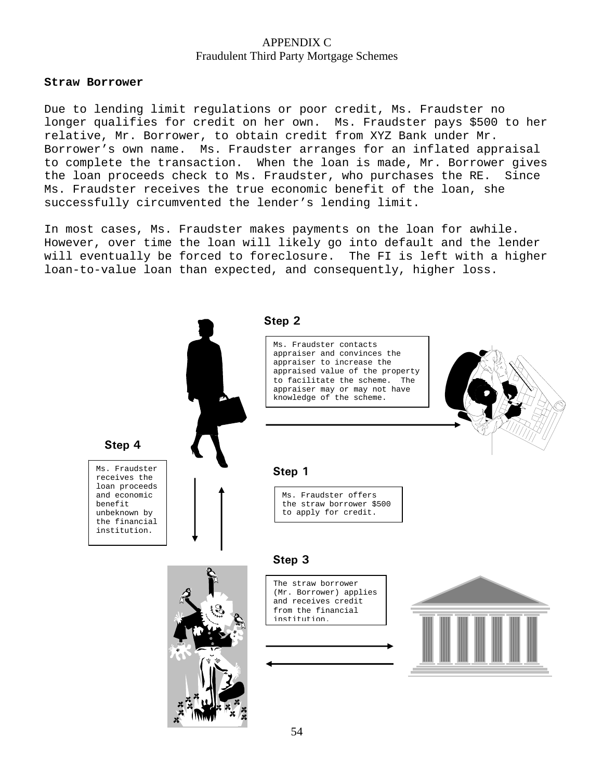#### **Straw Borrower**

Due to lending limit regulations or poor credit, Ms. Fraudster no longer qualifies for credit on her own. Ms. Fraudster pays \$500 to her relative, Mr. Borrower, to obtain credit from XYZ Bank under Mr. Borrower's own name. Ms. Fraudster arranges for an inflated appraisal to complete the transaction. When the loan is made, Mr. Borrower gives the loan proceeds check to Ms. Fraudster, who purchases the RE. Since Ms. Fraudster receives the true economic benefit of the loan, she successfully circumvented the lender's lending limit.

In most cases, Ms. Fraudster makes payments on the loan for awhile. However, over time the loan will likely go into default and the lender will eventually be forced to foreclosure. The FI is left with a higher loan-to-value loan than expected, and consequently, higher loss.

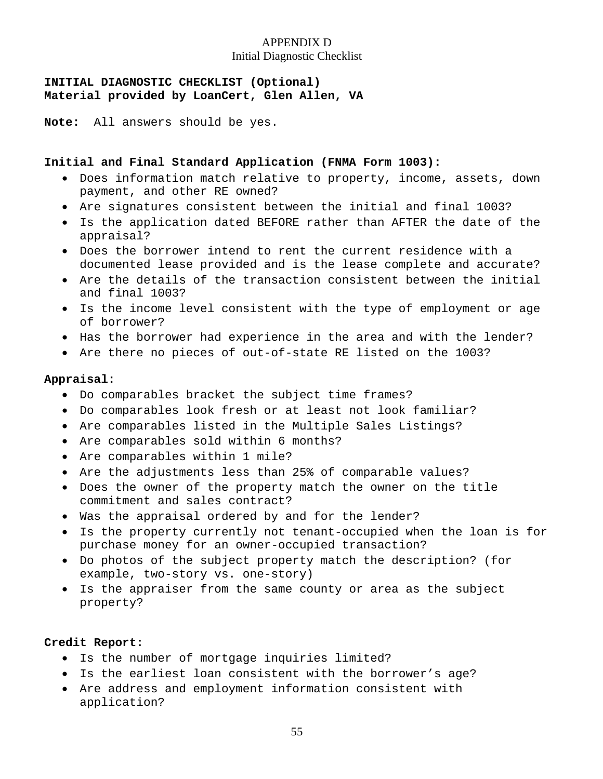### APPENDIX D Initial Diagnostic Checklist

### **INITIAL DIAGNOSTIC CHECKLIST (Optional) Material provided by LoanCert, Glen Allen, VA**

**Note:** All answers should be yes.

### **Initial and Final Standard Application (FNMA Form 1003):**

- Does information match relative to property, income, assets, down payment, and other RE owned?
- Are signatures consistent between the initial and final 1003?
- Is the application dated BEFORE rather than AFTER the date of the appraisal?
- Does the borrower intend to rent the current residence with a documented lease provided and is the lease complete and accurate?
- Are the details of the transaction consistent between the initial and final 1003?
- Is the income level consistent with the type of employment or age of borrower?
- Has the borrower had experience in the area and with the lender?
- Are there no pieces of out-of-state RE listed on the 1003?

### **Appraisal:**

- Do comparables bracket the subject time frames?
- Do comparables look fresh or at least not look familiar?
- Are comparables listed in the Multiple Sales Listings?
- Are comparables sold within 6 months?
- Are comparables within 1 mile?
- Are the adjustments less than 25% of comparable values?
- Does the owner of the property match the owner on the title commitment and sales contract?
- Was the appraisal ordered by and for the lender?
- Is the property currently not tenant-occupied when the loan is for purchase money for an owner-occupied transaction?
- Do photos of the subject property match the description? (for example, two-story vs. one-story)
- Is the appraiser from the same county or area as the subject property?

### **Credit Report:**

- Is the number of mortgage inquiries limited?
- Is the earliest loan consistent with the borrower's age?
- Are address and employment information consistent with application?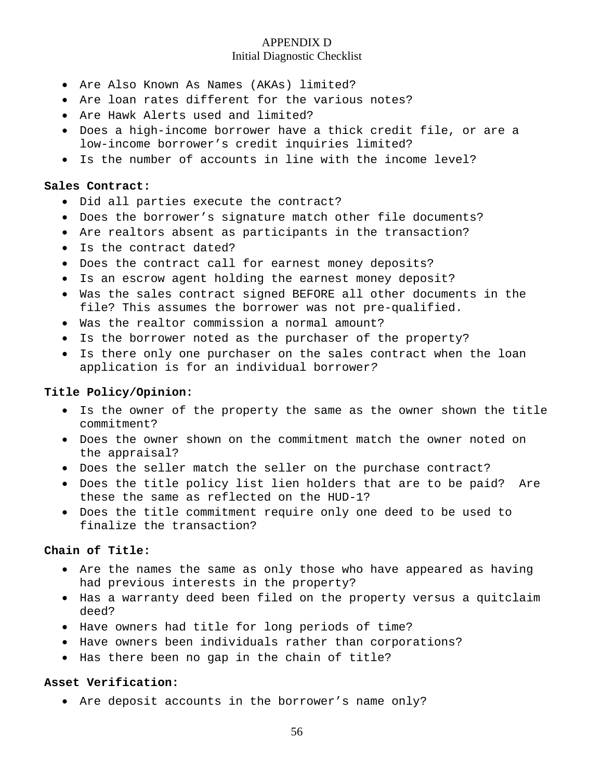### APPENDIX D Initial Diagnostic Checklist

- Are Also Known As Names (AKAs) limited?
- Are loan rates different for the various notes?
- Are Hawk Alerts used and limited?
- Does a high-income borrower have a thick credit file, or are a low-income borrower's credit inquiries limited?
- Is the number of accounts in line with the income level?

#### **Sales Contract:**

- Did all parties execute the contract?
- Does the borrower's signature match other file documents?
- Are realtors absent as participants in the transaction?
- Is the contract dated?
- Does the contract call for earnest money deposits?
- Is an escrow agent holding the earnest money deposit?
- Was the sales contract signed BEFORE all other documents in the file? This assumes the borrower was not pre-qualified.
- Was the realtor commission a normal amount?
- Is the borrower noted as the purchaser of the property?
- Is there only one purchaser on the sales contract when the loan application is for an individual borrower*?*

#### **Title Policy/Opinion:**

- Is the owner of the property the same as the owner shown the title commitment?
- Does the owner shown on the commitment match the owner noted on the appraisal?
- Does the seller match the seller on the purchase contract?
- Does the title policy list lien holders that are to be paid? Are these the same as reflected on the HUD-1?
- Does the title commitment require only one deed to be used to finalize the transaction?

### **Chain of Title:**

- Are the names the same as only those who have appeared as having had previous interests in the property?
- Has a warranty deed been filed on the property versus a quitclaim deed?
- Have owners had title for long periods of time?
- Have owners been individuals rather than corporations?
- Has there been no gap in the chain of title?

#### **Asset Verification:**

• Are deposit accounts in the borrower's name only?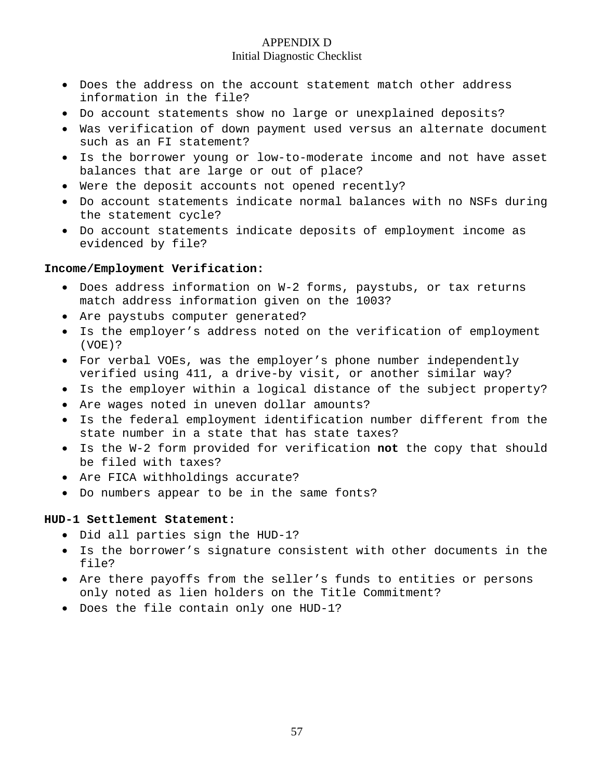### APPENDIX D Initial Diagnostic Checklist

- Does the address on the account statement match other address information in the file?
- Do account statements show no large or unexplained deposits?
- Was verification of down payment used versus an alternate document such as an FI statement?
- Is the borrower young or low-to-moderate income and not have asset balances that are large or out of place?
- Were the deposit accounts not opened recently?
- Do account statements indicate normal balances with no NSFs during the statement cycle?
- Do account statements indicate deposits of employment income as evidenced by file?

### **Income/Employment Verification:**

- Does address information on W-2 forms, paystubs, or tax returns match address information given on the 1003?
- Are paystubs computer generated?
- Is the employer's address noted on the verification of employment (VOE)?
- For verbal VOEs, was the employer's phone number independently verified using 411, a drive-by visit, or another similar way?
- Is the employer within a logical distance of the subject property?
- Are wages noted in uneven dollar amounts?
- Is the federal employment identification number different from the state number in a state that has state taxes?
- Is the W-2 form provided for verification **not** the copy that should be filed with taxes?
- Are FICA withholdings accurate?
- Do numbers appear to be in the same fonts?

### **HUD-1 Settlement Statement:**

- Did all parties sign the HUD-1?
- Is the borrower's signature consistent with other documents in the file?
- Are there payoffs from the seller's funds to entities or persons only noted as lien holders on the Title Commitment?
- Does the file contain only one HUD-1?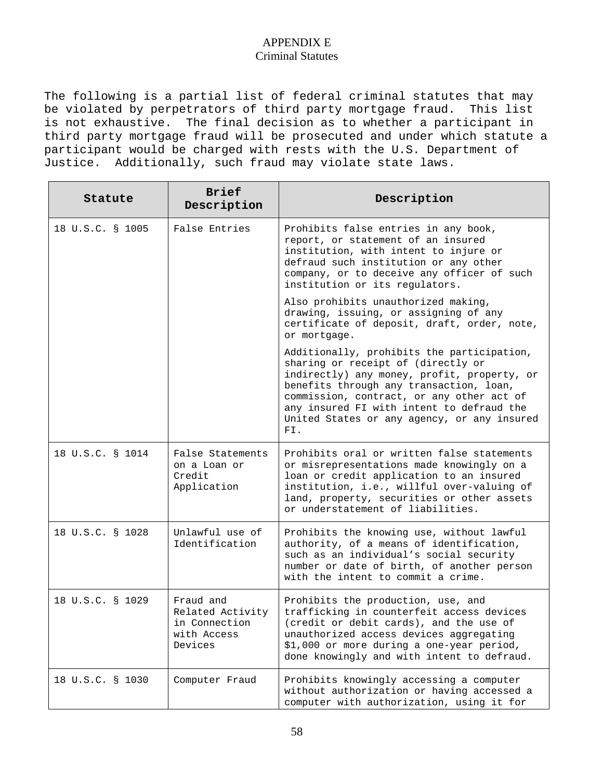### APPENDIX E Criminal Statutes

The following is a partial list of federal criminal statutes that may be violated by perpetrators of third party mortgage fraud. This list is not exhaustive. The final decision as to whether a participant in third party mortgage fraud will be prosecuted and under which statute a participant would be charged with rests with the U.S. Department of Justice. Additionally, such fraud may violate state laws.

| Statute          | <b>Brief</b><br>Description                                              | Description                                                                                                                                                                                                                                                                                                                |
|------------------|--------------------------------------------------------------------------|----------------------------------------------------------------------------------------------------------------------------------------------------------------------------------------------------------------------------------------------------------------------------------------------------------------------------|
| 18 U.S.C. § 1005 | False Entries                                                            | Prohibits false entries in any book,<br>report, or statement of an insured<br>institution, with intent to injure or<br>defraud such institution or any other<br>company, or to deceive any officer of such<br>institution or its regulators.                                                                               |
|                  |                                                                          | Also prohibits unauthorized making,<br>drawing, issuing, or assigning of any<br>certificate of deposit, draft, order, note,<br>or mortgage.                                                                                                                                                                                |
|                  |                                                                          | Additionally, prohibits the participation,<br>sharing or receipt of (directly or<br>indirectly) any money, profit, property, or<br>benefits through any transaction, loan,<br>commission, contract, or any other act of<br>any insured FI with intent to defraud the<br>United States or any agency, or any insured<br>FI. |
| 18 U.S.C. § 1014 | False Statements<br>on a Loan or<br>Credit<br>Application                | Prohibits oral or written false statements<br>or misrepresentations made knowingly on a<br>loan or credit application to an insured<br>institution, i.e., willful over-valuing of<br>land, property, securities or other assets<br>or understatement of liabilities.                                                       |
| 18 U.S.C. § 1028 | Unlawful use of<br>Identification                                        | Prohibits the knowing use, without lawful<br>authority, of a means of identification,<br>such as an individual's social security<br>number or date of birth, of another person<br>with the intent to commit a crime.                                                                                                       |
| 18 U.S.C. § 1029 | Fraud and<br>Related Activity<br>in Connection<br>with Access<br>Devices | Prohibits the production, use, and<br>trafficking in counterfeit access devices<br>(credit or debit cards), and the use of<br>unauthorized access devices aggregating<br>\$1,000 or more during a one-year period,<br>done knowingly and with intent to defraud.                                                           |
| 18 U.S.C. § 1030 | Computer Fraud                                                           | Prohibits knowingly accessing a computer<br>without authorization or having accessed a<br>computer with authorization, using it for                                                                                                                                                                                        |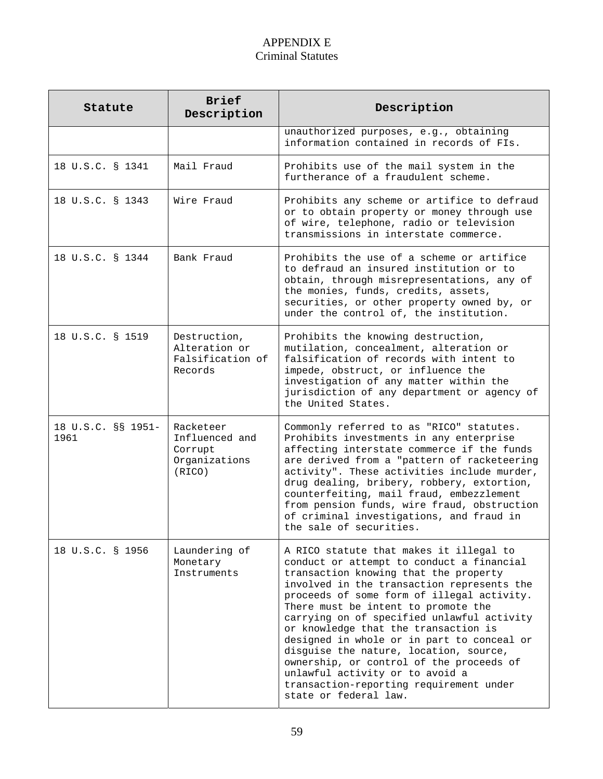### APPENDIX E Criminal Statutes

| Statute                    | <b>Brief</b><br>Description                                       | Description                                                                                                                                                                                                                                                                                                                                                                                                                                                                                                                                                                                       |
|----------------------------|-------------------------------------------------------------------|---------------------------------------------------------------------------------------------------------------------------------------------------------------------------------------------------------------------------------------------------------------------------------------------------------------------------------------------------------------------------------------------------------------------------------------------------------------------------------------------------------------------------------------------------------------------------------------------------|
|                            |                                                                   | unauthorized purposes, e.g., obtaining<br>information contained in records of FIs.                                                                                                                                                                                                                                                                                                                                                                                                                                                                                                                |
| 18 U.S.C. § 1341           | Mail Fraud                                                        | Prohibits use of the mail system in the<br>furtherance of a fraudulent scheme.                                                                                                                                                                                                                                                                                                                                                                                                                                                                                                                    |
| 18 U.S.C. § 1343           | Wire Fraud                                                        | Prohibits any scheme or artifice to defraud<br>or to obtain property or money through use<br>of wire, telephone, radio or television<br>transmissions in interstate commerce.                                                                                                                                                                                                                                                                                                                                                                                                                     |
| 18 U.S.C. § 1344           | Bank Fraud                                                        | Prohibits the use of a scheme or artifice<br>to defraud an insured institution or to<br>obtain, through misrepresentations, any of<br>the monies, funds, credits, assets,<br>securities, or other property owned by, or<br>under the control of, the institution.                                                                                                                                                                                                                                                                                                                                 |
| 18 U.S.C. § 1519           | Destruction,<br>Alteration or<br>Falsification of<br>Records      | Prohibits the knowing destruction,<br>mutilation, concealment, alteration or<br>falsification of records with intent to<br>impede, obstruct, or influence the<br>investigation of any matter within the<br>jurisdiction of any department or agency of<br>the United States.                                                                                                                                                                                                                                                                                                                      |
| 18 U.S.C. §§ 1951-<br>1961 | Racketeer<br>Influenced and<br>Corrupt<br>Organizations<br>(RICO) | Commonly referred to as "RICO" statutes.<br>Prohibits investments in any enterprise<br>affecting interstate commerce if the funds<br>are derived from a "pattern of racketeering<br>activity". These activities include murder,<br>drug dealing, bribery, robbery, extortion,<br>counterfeiting, mail fraud, embezzlement<br>from pension funds, wire fraud, obstruction<br>of criminal investigations, and fraud in<br>the sale of securities.                                                                                                                                                   |
| 18 U.S.C. § 1956           | Laundering of<br>Monetary<br>Instruments                          | A RICO statute that makes it illegal to<br>conduct or attempt to conduct a financial<br>transaction knowing that the property<br>involved in the transaction represents the<br>proceeds of some form of illegal activity.<br>There must be intent to promote the<br>carrying on of specified unlawful activity<br>or knowledge that the transaction is<br>designed in whole or in part to conceal or<br>disguise the nature, location, source,<br>ownership, or control of the proceeds of<br>unlawful activity or to avoid a<br>transaction-reporting requirement under<br>state or federal law. |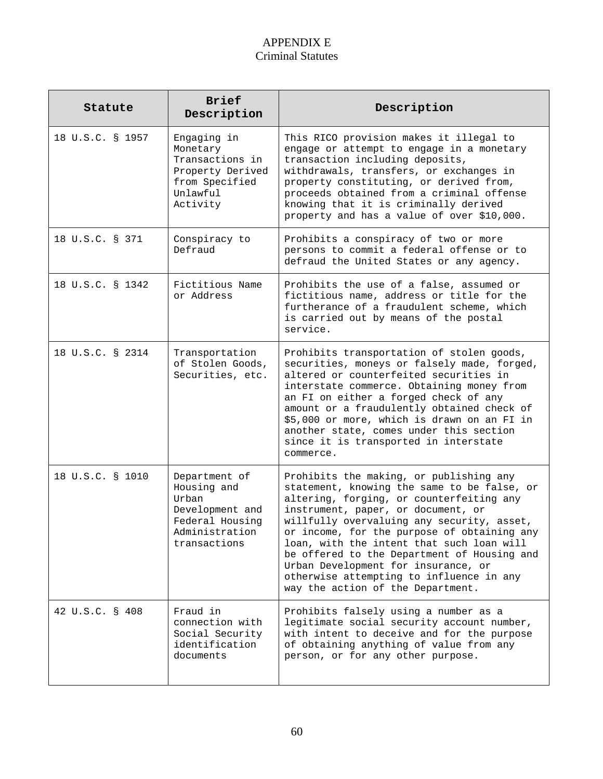## APPENDIX E Criminal Statutes

| Statute          | <b>Brief</b><br>Description                                                                                   | Description                                                                                                                                                                                                                                                                                                                                                                                                                                                                               |
|------------------|---------------------------------------------------------------------------------------------------------------|-------------------------------------------------------------------------------------------------------------------------------------------------------------------------------------------------------------------------------------------------------------------------------------------------------------------------------------------------------------------------------------------------------------------------------------------------------------------------------------------|
| 18 U.S.C. § 1957 | Engaging in<br>Monetary<br>Transactions in<br>Property Derived<br>from Specified<br>Unlawful<br>Activity      | This RICO provision makes it illegal to<br>engage or attempt to engage in a monetary<br>transaction including deposits,<br>withdrawals, transfers, or exchanges in<br>property constituting, or derived from,<br>proceeds obtained from a criminal offense<br>knowing that it is criminally derived<br>property and has a value of over \$10,000.                                                                                                                                         |
| 18 U.S.C. § 371  | Conspiracy to<br>Defraud                                                                                      | Prohibits a conspiracy of two or more<br>persons to commit a federal offense or to<br>defraud the United States or any agency.                                                                                                                                                                                                                                                                                                                                                            |
| 18 U.S.C. § 1342 | Fictitious Name<br>or Address                                                                                 | Prohibits the use of a false, assumed or<br>fictitious name, address or title for the<br>furtherance of a fraudulent scheme, which<br>is carried out by means of the postal<br>service.                                                                                                                                                                                                                                                                                                   |
| 18 U.S.C. § 2314 | Transportation<br>of Stolen Goods,<br>Securities, etc.                                                        | Prohibits transportation of stolen goods,<br>securities, moneys or falsely made, forged,<br>altered or counterfeited securities in<br>interstate commerce. Obtaining money from<br>an FI on either a forged check of any<br>amount or a fraudulently obtained check of<br>\$5,000 or more, which is drawn on an FI in<br>another state, comes under this section<br>since it is transported in interstate<br>commerce.                                                                    |
| 18 U.S.C. § 1010 | Department of<br>Housing and<br>Urban<br>Development and<br>Federal Housing<br>Administration<br>transactions | Prohibits the making, or publishing any<br>statement, knowing the same to be false, or<br>altering, forging, or counterfeiting any<br>instrument, paper, or document, or<br>willfully overvaluing any security, asset,<br>or income, for the purpose of obtaining any<br>loan, with the intent that such loan will<br>be offered to the Department of Housing and<br>Urban Development for insurance, or<br>otherwise attempting to influence in any<br>way the action of the Department. |
| 42 U.S.C. § 408  | Fraud in<br>connection with<br>Social Security<br>identification<br>documents                                 | Prohibits falsely using a number as a<br>legitimate social security account number,<br>with intent to deceive and for the purpose<br>of obtaining anything of value from any<br>person, or for any other purpose.                                                                                                                                                                                                                                                                         |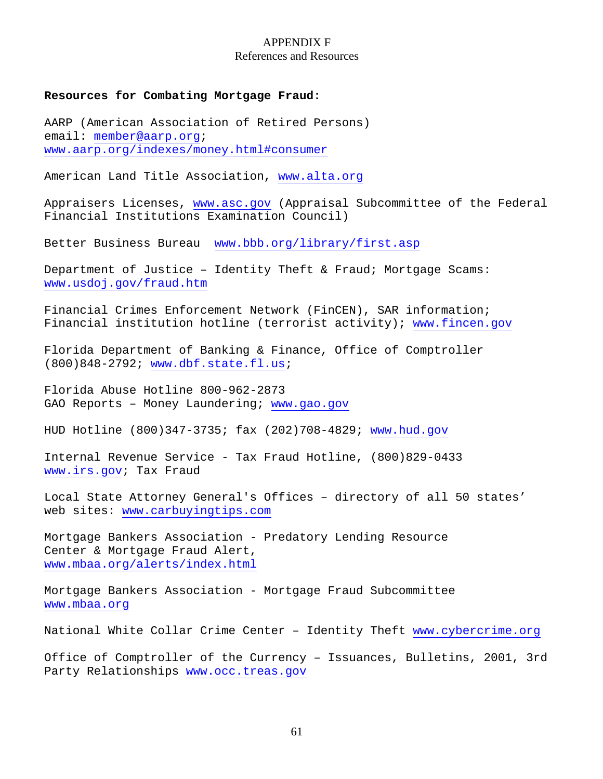#### APPENDIX F References and Resources

#### **Resources for Combating Mortgage Fraud:**

AARP (American Association of Retired Persons) email: member@aarp.org; www.aarp.org/indexes/money.html#consumer

American Land Title Association, www.alta.org

Appraisers Licenses, www.asc.gov (Appraisal Subcommittee of the Federal Financial Institutions Examination Council)

Better Business Bureau www.bbb.org/library/first.asp

Department of Justice – Identity Theft & Fraud; Mortgage Scams: www.usdoj.gov/fraud.htm

Financial Crimes Enforcement Network (FinCEN), SAR information; Financial institution hotline (terrorist activity); www.fincen.gov

Florida Department of Banking & Finance, Office of Comptroller (800)848-2792; www.dbf.state.fl.us;

Florida Abuse Hotline 800-962-2873 GAO Reports – Money Laundering; www.gao.gov

HUD Hotline (800)347-3735; fax (202)708-4829; www.hud.gov

Internal Revenue Service - Tax Fraud Hotline, (800)829-0433 www.irs.gov; Tax Fraud

Local State Attorney General's Offices – directory of all 50 states' web sites: www.carbuyingtips.com

Mortgage Bankers Association - Predatory Lending Resource Center & Mortgage Fraud Alert, www.mbaa.org/alerts/index.html

Mortgage Bankers Association - Mortgage Fraud Subcommittee www.mbaa.org

National White Collar Crime Center – Identity Theft www.cybercrime.org

Office of Comptroller of the Currency – Issuances, Bulletins, 2001, 3rd Party Relationships www.occ.treas.gov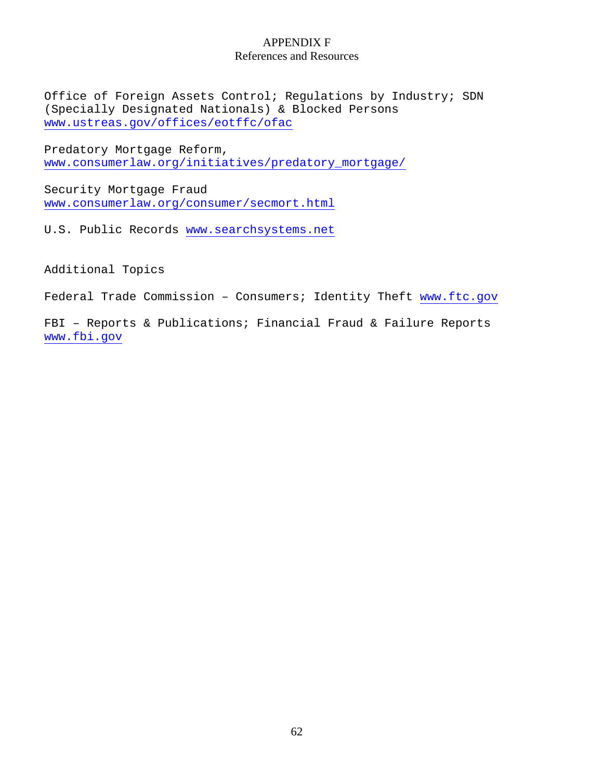#### APPENDIX F References and Resources

Office of Foreign Assets Control; Regulations by Industry; SDN (Specially Designated Nationals) & Blocked Persons www.ustreas.gov/offices/eotffc/ofac

Predatory Mortgage Reform, www.consumerlaw.org/initiatives/predatory\_mortgage/

Security Mortgage Fraud www.consumerlaw.org/consumer/secmort.html

U.S. Public Records www.searchsystems.net

Additional Topics

Federal Trade Commission - Consumers; Identity Theft www.ftc.gov

FBI – Reports & Publications; Financial Fraud & Failure Reports www.fbi.gov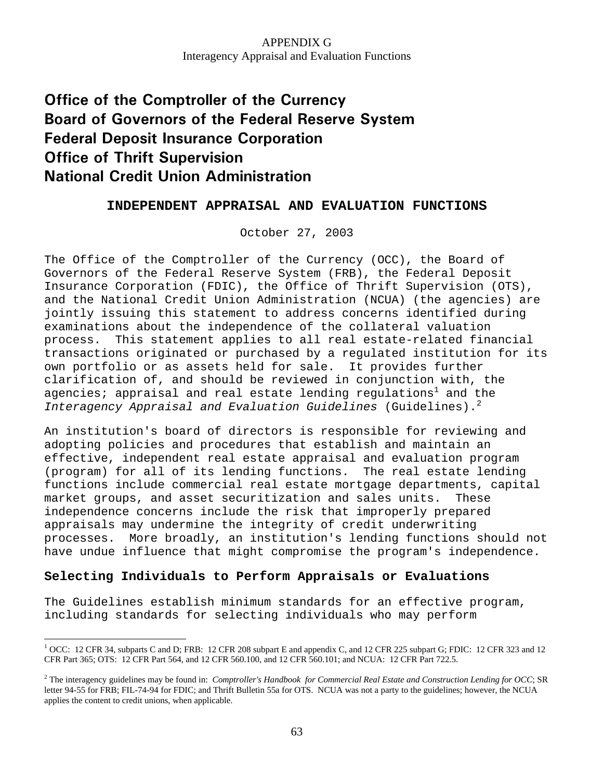## **Office of the Comptroller of the Currency Board of Governors of the Federal Reserve System Federal Deposit Insurance Corporation Office of Thrift Supervision National Credit Union Administration**

### **INDEPENDENT APPRAISAL AND EVALUATION FUNCTIONS**

October 27, 2003

The Office of the Comptroller of the Currency (OCC), the Board of Governors of the Federal Reserve System (FRB), the Federal Deposit Insurance Corporation (FDIC), the Office of Thrift Supervision (OTS), and the National Credit Union Administration (NCUA) (the agencies) are jointly issuing this statement to address concerns identified during examinations about the independence of the collateral valuation process. This statement applies to all real estate-related financial transactions originated or purchased by a regulated institution for its own portfolio or as assets held for sale. It provides further clarification of, and should be reviewed in conjunction with, the agencies; appraisal and real estate lending regulations $^{\rm 1}$  and the *Interagency Appraisal and Evaluation Guidelines* (Guidelines).<sup>2</sup>

An institution's board of directors is responsible for reviewing and adopting policies and procedures that establish and maintain an effective, independent real estate appraisal and evaluation program (program) for all of its lending functions. The real estate lending functions include commercial real estate mortgage departments, capital market groups, and asset securitization and sales units. These independence concerns include the risk that improperly prepared appraisals may undermine the integrity of credit underwriting processes. More broadly, an institution's lending functions should not have undue influence that might compromise the program's independence.

### **Selecting Individuals to Perform Appraisals or Evaluations**

 $\overline{a}$ 

The Guidelines establish minimum standards for an effective program, including standards for selecting individuals who may perform

<sup>&</sup>lt;sup>1</sup> OCC: 12 CFR 34, subparts C and D; FRB: 12 CFR 208 subpart E and appendix C, and 12 CFR 225 subpart G; FDIC: 12 CFR 323 and 12 CFR Part 365; OTS: 12 CFR Part 564, and 12 CFR 560.100, and 12 CFR 560.101; and NCUA: 12 CFR Part 722.5.

<sup>&</sup>lt;sup>2</sup> The interagency guidelines may be found in: *Comptroller's Handbook for Commercial Real Estate and Construction Lending for OCC*; SR letter 94-55 for FRB; FIL-74-94 for FDIC; and Thrift Bulletin 55a for OTS. NCUA was not a party to the guidelines; however, the NCUA applies the content to credit unions, when applicable.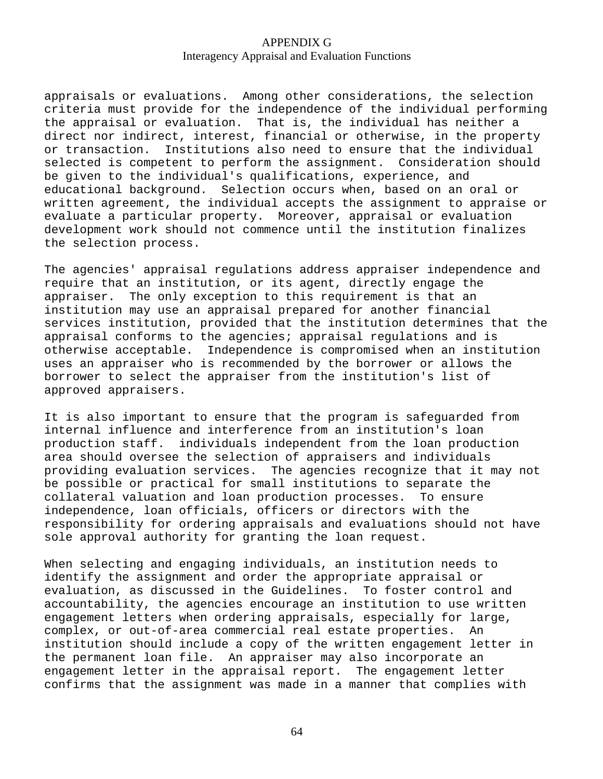appraisals or evaluations. Among other considerations, the selection criteria must provide for the independence of the individual performing the appraisal or evaluation. That is, the individual has neither a direct nor indirect, interest, financial or otherwise, in the property or transaction. Institutions also need to ensure that the individual selected is competent to perform the assignment. Consideration should be given to the individual's qualifications, experience, and educational background. Selection occurs when, based on an oral or written agreement, the individual accepts the assignment to appraise or evaluate a particular property. Moreover, appraisal or evaluation development work should not commence until the institution finalizes the selection process.

The agencies' appraisal regulations address appraiser independence and require that an institution, or its agent, directly engage the appraiser. The only exception to this requirement is that an institution may use an appraisal prepared for another financial services institution, provided that the institution determines that the appraisal conforms to the agencies; appraisal regulations and is otherwise acceptable. Independence is compromised when an institution uses an appraiser who is recommended by the borrower or allows the borrower to select the appraiser from the institution's list of approved appraisers.

It is also important to ensure that the program is safeguarded from internal influence and interference from an institution's loan production staff. individuals independent from the loan production area should oversee the selection of appraisers and individuals providing evaluation services. The agencies recognize that it may not be possible or practical for small institutions to separate the collateral valuation and loan production processes. To ensure independence, loan officials, officers or directors with the responsibility for ordering appraisals and evaluations should not have sole approval authority for granting the loan request.

When selecting and engaging individuals, an institution needs to identify the assignment and order the appropriate appraisal or evaluation, as discussed in the Guidelines. To foster control and accountability, the agencies encourage an institution to use written engagement letters when ordering appraisals, especially for large, complex, or out-of-area commercial real estate properties. An institution should include a copy of the written engagement letter in the permanent loan file. An appraiser may also incorporate an engagement letter in the appraisal report. The engagement letter confirms that the assignment was made in a manner that complies with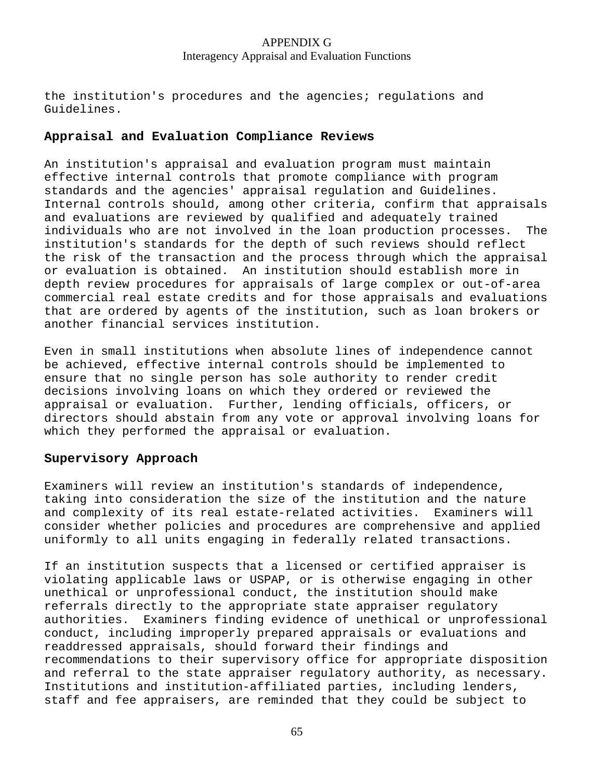the institution's procedures and the agencies; regulations and Guidelines.

#### **Appraisal and Evaluation Compliance Reviews**

An institution's appraisal and evaluation program must maintain effective internal controls that promote compliance with program standards and the agencies' appraisal regulation and Guidelines. Internal controls should, among other criteria, confirm that appraisals and evaluations are reviewed by qualified and adequately trained individuals who are not involved in the loan production processes. The institution's standards for the depth of such reviews should reflect the risk of the transaction and the process through which the appraisal or evaluation is obtained. An institution should establish more in depth review procedures for appraisals of large complex or out-of-area commercial real estate credits and for those appraisals and evaluations that are ordered by agents of the institution, such as loan brokers or another financial services institution.

Even in small institutions when absolute lines of independence cannot be achieved, effective internal controls should be implemented to ensure that no single person has sole authority to render credit decisions involving loans on which they ordered or reviewed the appraisal or evaluation. Further, lending officials, officers, or directors should abstain from any vote or approval involving loans for which they performed the appraisal or evaluation.

### **Supervisory Approach**

Examiners will review an institution's standards of independence, taking into consideration the size of the institution and the nature and complexity of its real estate-related activities. Examiners will consider whether policies and procedures are comprehensive and applied uniformly to all units engaging in federally related transactions.

If an institution suspects that a licensed or certified appraiser is violating applicable laws or USPAP, or is otherwise engaging in other unethical or unprofessional conduct, the institution should make referrals directly to the appropriate state appraiser regulatory authorities. Examiners finding evidence of unethical or unprofessional conduct, including improperly prepared appraisals or evaluations and readdressed appraisals, should forward their findings and recommendations to their supervisory office for appropriate disposition and referral to the state appraiser regulatory authority, as necessary. Institutions and institution-affiliated parties, including lenders, staff and fee appraisers, are reminded that they could be subject to